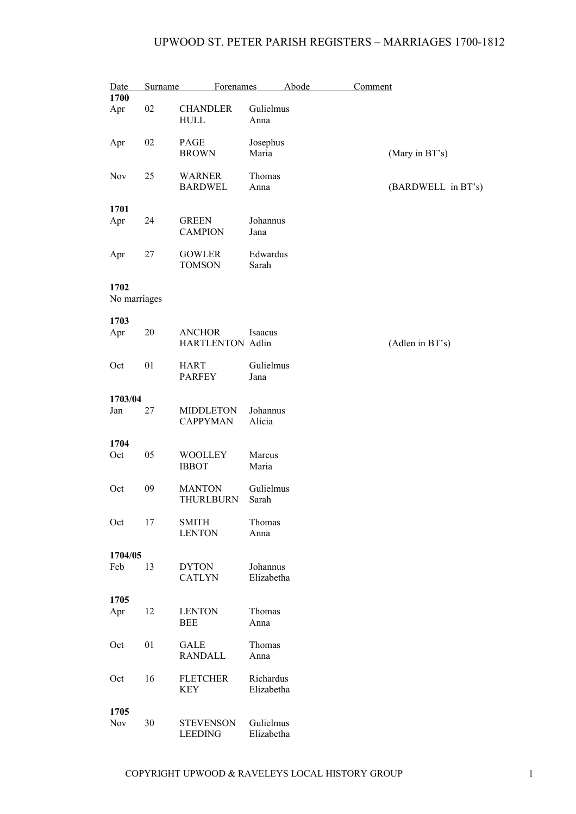## UPWOOD ST. PETER PARISH REGISTERS – MARRIAGES 1700-1812

| Date                 | Surname | <b>Forenames</b>                         |                         | Abode | Comment |                    |
|----------------------|---------|------------------------------------------|-------------------------|-------|---------|--------------------|
| 1700                 |         |                                          |                         |       |         |                    |
| Apr                  | 02      | <b>CHANDLER</b><br><b>HULL</b>           | Gulielmus<br>Anna       |       |         |                    |
| Apr                  | 02      | PAGE<br><b>BROWN</b>                     | Josephus<br>Maria       |       |         | (Mary in BT's)     |
| <b>Nov</b>           | 25      | <b>WARNER</b><br><b>BARDWEL</b>          | Thomas<br>Anna          |       |         | (BARDWELL in BT's) |
| 1701                 |         |                                          |                         |       |         |                    |
| Apr                  | 24      | <b>GREEN</b><br><b>CAMPION</b>           | Johannus<br>Jana        |       |         |                    |
| Apr                  | 27      | <b>GOWLER</b><br><b>TOMSON</b>           | Edwardus<br>Sarah       |       |         |                    |
| 1702<br>No marriages |         |                                          |                         |       |         |                    |
| 1703                 |         |                                          |                         |       |         |                    |
| Apr                  | 20      | <b>ANCHOR</b><br><b>HARTLENTON Adlin</b> | Isaacus                 |       |         | (Adlen in BT's)    |
| Oct                  | 01      | <b>HART</b><br><b>PARFEY</b>             | Gulielmus<br>Jana       |       |         |                    |
| 1703/04              |         |                                          |                         |       |         |                    |
| Jan                  | 27      | <b>MIDDLETON</b><br><b>CAPPYMAN</b>      | Johannus<br>Alicia      |       |         |                    |
| 1704                 |         |                                          |                         |       |         |                    |
| Oct                  | 05      | <b>WOOLLEY</b><br><b>IBBOT</b>           | Marcus<br>Maria         |       |         |                    |
| Oct                  | 09      | <b>MANTON</b><br><b>THURLBURN</b>        | Gulielmus<br>Sarah      |       |         |                    |
| Oct                  | 17      | <b>SMITH</b><br><b>LENTON</b>            | Thomas<br>Anna          |       |         |                    |
| 1704/05              |         |                                          |                         |       |         |                    |
| Feb                  | 13      | <b>DYTON</b><br><b>CATLYN</b>            | Johannus<br>Elizabetha  |       |         |                    |
| 1705                 |         |                                          |                         |       |         |                    |
| Apr                  | 12      | <b>LENTON</b><br><b>BEE</b>              | Thomas<br>Anna          |       |         |                    |
| Oct                  | 01      | <b>GALE</b><br><b>RANDALL</b>            | Thomas<br>Anna          |       |         |                    |
| Oct                  | 16      | <b>FLETCHER</b><br>KEY                   | Richardus<br>Elizabetha |       |         |                    |
|                      |         |                                          |                         |       |         |                    |
| 1705<br>Nov          | 30      | <b>STEVENSON</b><br><b>LEEDING</b>       | Gulielmus<br>Elizabetha |       |         |                    |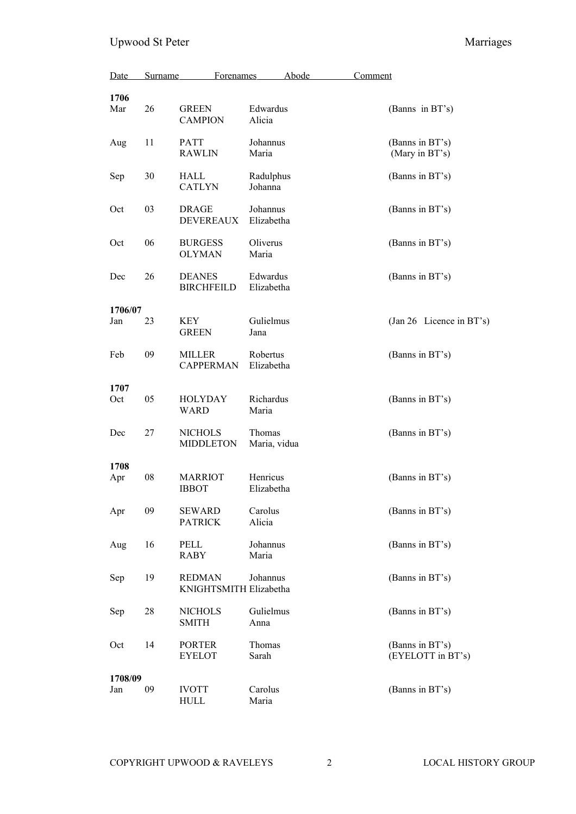| Date           | Surname | Forenames                               |                        | Abode | Comment |                                      |
|----------------|---------|-----------------------------------------|------------------------|-------|---------|--------------------------------------|
| 1706<br>Mar    | 26      | <b>GREEN</b><br><b>CAMPION</b>          | Edwardus<br>Alicia     |       |         | (Banns in BT's)                      |
| Aug            | 11      | PATT<br><b>RAWLIN</b>                   | Johannus<br>Maria      |       |         | (Banns in BT's)<br>(Mary in BT's)    |
| Sep            | 30      | HALL<br><b>CATLYN</b>                   | Radulphus<br>Johanna   |       |         | (Banns in BT's)                      |
| Oct            | 03      | <b>DRAGE</b><br><b>DEVEREAUX</b>        | Johannus<br>Elizabetha |       |         | (Banns in BT's)                      |
| Oct            | 06      | <b>BURGESS</b><br><b>OLYMAN</b>         | Oliverus<br>Maria      |       |         | (Banns in BT's)                      |
| Dec            | 26      | <b>DEANES</b><br><b>BIRCHFEILD</b>      | Edwardus<br>Elizabetha |       |         | (Banns in BT's)                      |
|                |         |                                         |                        |       |         |                                      |
| 1706/07<br>Jan | 23      | KEY<br><b>GREEN</b>                     | Gulielmus<br>Jana      |       |         | (Jan 26 Licence in BT's)             |
| Feb            | 09      | MILLER<br><b>CAPPERMAN</b>              | Robertus<br>Elizabetha |       |         | (Banns in BT's)                      |
| 1707<br>Oct    | 05      | HOLYDAY<br><b>WARD</b>                  | Richardus<br>Maria     |       |         | (Banns in BT's)                      |
| Dec            | 27      | <b>NICHOLS</b><br><b>MIDDLETON</b>      | Thomas<br>Maria, vidua |       |         | (Banns in BT's)                      |
|                |         |                                         |                        |       |         |                                      |
| 1708<br>Apr    | 08      | <b>MARRIOT</b><br><b>IBBOT</b>          | Henricus<br>Elizabetha |       |         | (Banns in BT's)                      |
| Apr            | 09      | <b>SEWARD</b><br><b>PATRICK</b>         | Carolus<br>Alicia      |       |         | (Banns in BT's)                      |
| Aug            | 16      | PELL<br><b>RABY</b>                     | Johannus<br>Maria      |       |         | (Banns in BT's)                      |
| Sep            | 19      | <b>REDMAN</b><br>KNIGHTSMITH Elizabetha | Johannus               |       |         | (Banns in BT's)                      |
| Sep            | 28      | <b>NICHOLS</b><br><b>SMITH</b>          | Gulielmus<br>Anna      |       |         | (Banns in BT's)                      |
| Oct            | 14      | <b>PORTER</b><br><b>EYELOT</b>          | Thomas<br>Sarah        |       |         | (Banns in BT's)<br>(EYELOTT in BT's) |
|                |         |                                         |                        |       |         |                                      |
| 1708/09<br>Jan | 09      | <b>IVOTT</b><br>HULL                    | Carolus<br>Maria       |       |         | (Banns in BT's)                      |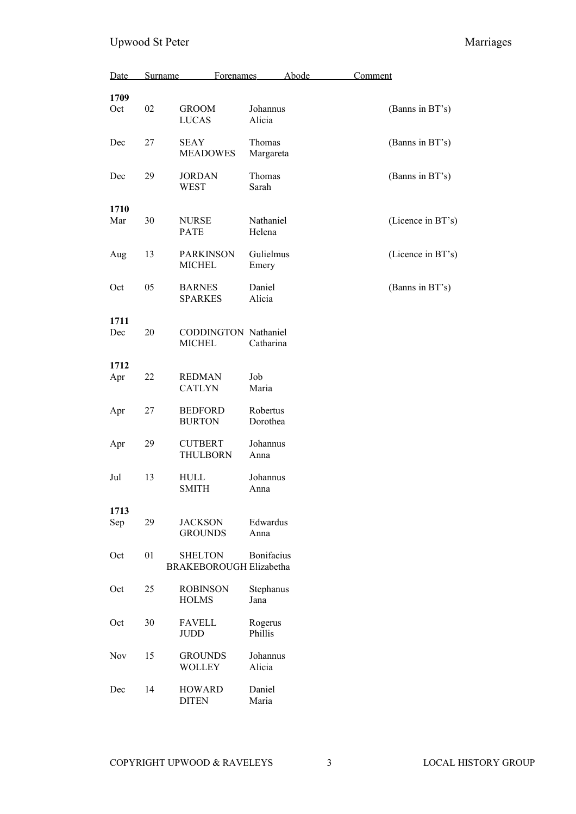| Date        | Surname | Forenames                                        | Abode                | Comment           |
|-------------|---------|--------------------------------------------------|----------------------|-------------------|
| 1709<br>Oct | 02      | <b>GROOM</b><br><b>LUCAS</b>                     | Johannus<br>Alicia   | (Banns in BT's)   |
| Dec         | 27      | SEAY<br><b>MEADOWES</b>                          | Thomas<br>Margareta  | (Banns in BT's)   |
| Dec         | 29      | <b>JORDAN</b><br><b>WEST</b>                     | Thomas<br>Sarah      | (Banns in BT's)   |
| 1710<br>Mar | 30      | <b>NURSE</b><br><b>PATE</b>                      | Nathaniel<br>Helena  | (Licence in BT's) |
| Aug         | 13      | <b>PARKINSON</b><br><b>MICHEL</b>                | Gulielmus<br>Emery   | (Licence in BT's) |
| Oct         | 05      | <b>BARNES</b><br><b>SPARKES</b>                  | Daniel<br>Alicia     | (Banns in BT's)   |
| 1711<br>Dec | 20      | CODDINGTON Nathaniel<br><b>MICHEL</b>            | Catharina            |                   |
| 1712<br>Apr | 22      | <b>REDMAN</b><br><b>CATLYN</b>                   | Job<br>Maria         |                   |
| Apr         | 27      | <b>BEDFORD</b><br><b>BURTON</b>                  | Robertus<br>Dorothea |                   |
| Apr         | 29      | <b>CUTBERT</b><br><b>THULBORN</b>                | Johannus<br>Anna     |                   |
| Jul         | 13      | <b>HULL</b><br><b>SMITH</b>                      | Johannus<br>Anna     |                   |
| 1713<br>Sep | 29      | <b>JACKSON</b><br><b>GROUNDS</b>                 | Edwardus<br>Anna     |                   |
| Oct         | 01      | <b>SHELTON</b><br><b>BRAKEBOROUGH Elizabetha</b> | Bonifacius           |                   |
| Oct         | 25      | <b>ROBINSON</b><br><b>HOLMS</b>                  | Stephanus<br>Jana    |                   |
| Oct         | 30      | <b>FAVELL</b><br><b>JUDD</b>                     | Rogerus<br>Phillis   |                   |
| Nov         | 15      | <b>GROUNDS</b><br><b>WOLLEY</b>                  | Johannus<br>Alicia   |                   |
| Dec         | 14      | <b>HOWARD</b><br><b>DITEN</b>                    | Daniel<br>Maria      |                   |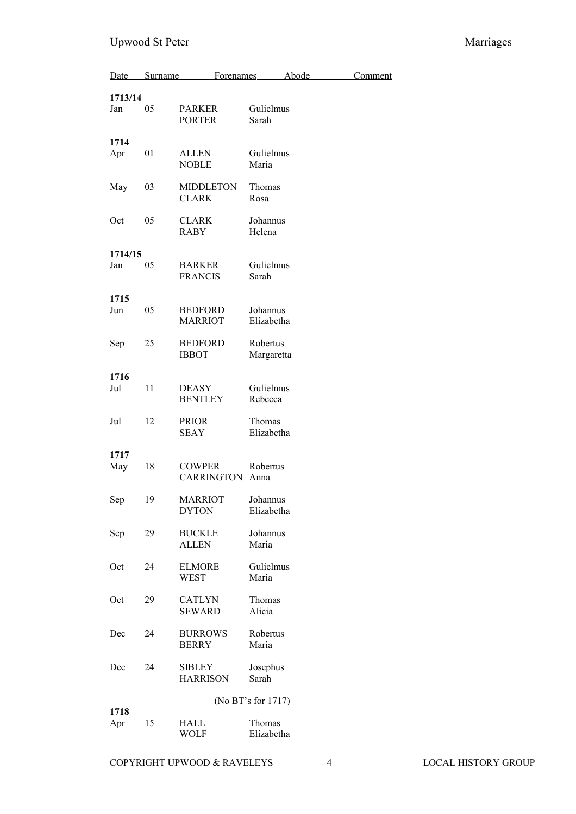| Date    | Surname | Forenames                        | Abode                  | Comment |
|---------|---------|----------------------------------|------------------------|---------|
| 1713/14 |         |                                  |                        |         |
| Jan     | 05      | <b>PARKER</b><br><b>PORTER</b>   | Gulielmus<br>Sarah     |         |
| 1714    |         |                                  |                        |         |
| Apr     | 01      | <b>ALLEN</b><br><b>NOBLE</b>     | Gulielmus<br>Maria     |         |
| May     | 03      | <b>MIDDLETON</b><br><b>CLARK</b> | Thomas<br>Rosa         |         |
| Oct     | 05      | <b>CLARK</b><br><b>RABY</b>      | Johannus<br>Helena     |         |
| 1714/15 |         |                                  |                        |         |
| Jan     | 05      | <b>BARKER</b><br><b>FRANCIS</b>  | Gulielmus<br>Sarah     |         |
| 1715    |         |                                  |                        |         |
| Jun     | 05      | <b>BEDFORD</b><br><b>MARRIOT</b> | Johannus<br>Elizabetha |         |
| Sep     | 25      | <b>BEDFORD</b><br><b>IBBOT</b>   | Robertus<br>Margaretta |         |
| 1716    |         |                                  |                        |         |
| Jul     | 11      | DEASY<br><b>BENTLEY</b>          | Gulielmus<br>Rebecca   |         |
| Jul     | 12      | <b>PRIOR</b><br><b>SEAY</b>      | Thomas<br>Elizabetha   |         |
| 1717    |         |                                  |                        |         |
| May     | 18      | <b>COWPER</b><br>CARRINGTON      | Robertus<br>Anna       |         |
| Sep     | 19      | <b>MARRIOT</b><br><b>DYTON</b>   | Johannus<br>Elizabetha |         |
| Sep     | 29      | <b>BUCKLE</b><br><b>ALLEN</b>    | Johannus<br>Maria      |         |
| Oct     | 24      | <b>ELMORE</b><br>WEST            | Gulielmus<br>Maria     |         |
| Oct     | 29      | <b>CATLYN</b><br><b>SEWARD</b>   | Thomas<br>Alicia       |         |
| Dec     | 24      | <b>BURROWS</b><br><b>BERRY</b>   | Robertus<br>Maria      |         |
| Dec     | 24      | <b>SIBLEY</b><br><b>HARRISON</b> | Josephus<br>Sarah      |         |
|         |         |                                  | (No BT's for 1717)     |         |
| 1718    |         |                                  |                        |         |
| Apr     | 15      | HALL<br><b>WOLF</b>              | Thomas<br>Elizabetha   |         |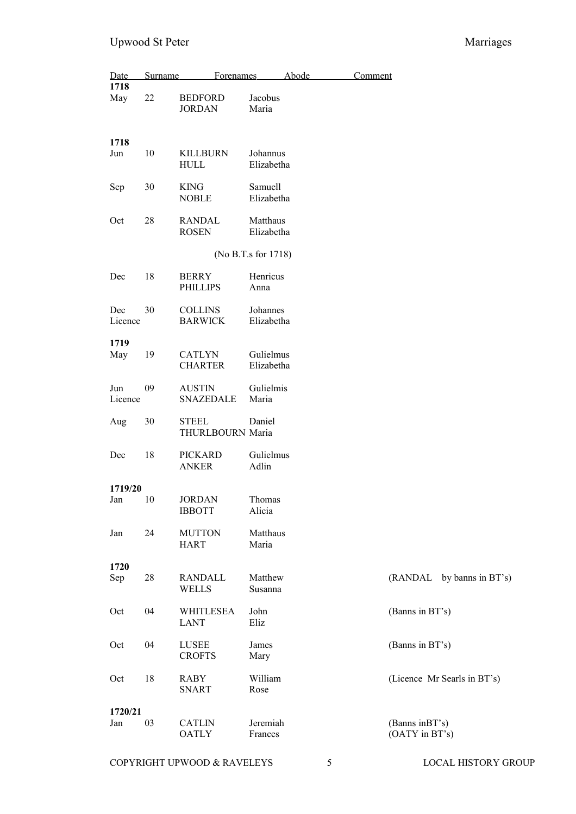| Date           | Surname | <b>Forenames</b>                  |                         | Abode | Comment |                                   |
|----------------|---------|-----------------------------------|-------------------------|-------|---------|-----------------------------------|
| 1718<br>May    | 22      | <b>BEDFORD</b><br><b>JORDAN</b>   | Jacobus<br>Maria        |       |         |                                   |
| 1718<br>Jun    | 10      | <b>KILLBURN</b><br><b>HULL</b>    | Johannus<br>Elizabetha  |       |         |                                   |
| Sep            | 30      | <b>KING</b><br><b>NOBLE</b>       | Samuell<br>Elizabetha   |       |         |                                   |
| Oct            | 28      | <b>RANDAL</b><br><b>ROSEN</b>     | Matthaus<br>Elizabetha  |       |         |                                   |
|                |         |                                   | (No B.T.s for 1718)     |       |         |                                   |
| Dec            | 18      | <b>BERRY</b><br><b>PHILLIPS</b>   | Henricus<br>Anna        |       |         |                                   |
| Dec<br>Licence | 30      | <b>COLLINS</b><br><b>BARWICK</b>  | Johannes<br>Elizabetha  |       |         |                                   |
| 1719           |         |                                   |                         |       |         |                                   |
| May            | 19      | <b>CATLYN</b><br><b>CHARTER</b>   | Gulielmus<br>Elizabetha |       |         |                                   |
| Jun<br>Licence | 09      | <b>AUSTIN</b><br><b>SNAZEDALE</b> | Gulielmis<br>Maria      |       |         |                                   |
| Aug            | 30      | <b>STEEL</b><br>THURLBOURN Maria  | Daniel                  |       |         |                                   |
| Dec            | 18      | <b>PICKARD</b><br><b>ANKER</b>    | Gulielmus<br>Adlin      |       |         |                                   |
| 1719/20        |         |                                   |                         |       |         |                                   |
| Jan            | 10      | JORDAN<br><b>IBBOTT</b>           | Thomas<br>Alicia        |       |         |                                   |
| Jan            | 24      | <b>MUTTON</b><br><b>HART</b>      | Matthaus<br>Maria       |       |         |                                   |
| 1720           |         |                                   |                         |       |         |                                   |
| Sep            | 28      | RANDALL<br><b>WELLS</b>           | Matthew<br>Susanna      |       |         | (RANDAL by banns in BT's)         |
| Oct            | 04      | <b>WHITLESEA</b><br><b>LANT</b>   | John<br>Eliz            |       |         | (Banns in BT's)                   |
| Oct            | 04      | <b>LUSEE</b><br><b>CROFTS</b>     | James<br>Mary           |       |         | (Banns in BT's)                   |
| Oct            | 18      | RABY<br>SNART                     | William<br>Rose         |       |         | (Licence Mr Searls in BT's)       |
| 1720/21        |         |                                   |                         |       |         |                                   |
| Jan            | 03      | <b>CATLIN</b><br><b>OATLY</b>     | Jeremiah<br>Frances     |       |         | (Banns in BT's)<br>(OATY in BT's) |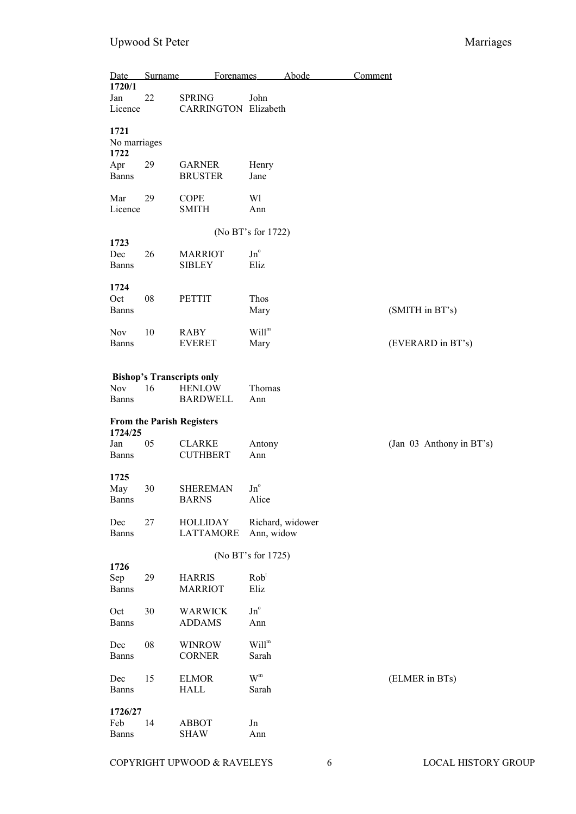| Date                           | Surname | Forenames                                                            |                                       | Abode            | Comment                  |
|--------------------------------|---------|----------------------------------------------------------------------|---------------------------------------|------------------|--------------------------|
| 1720/1<br>Jan<br>Licence       | 22      | <b>SPRING</b><br><b>CARRINGTON Elizabeth</b>                         | John                                  |                  |                          |
| 1721<br>No marriages<br>1722   |         |                                                                      |                                       |                  |                          |
| Apr<br><b>Banns</b>            | 29      | <b>GARNER</b><br><b>BRUSTER</b>                                      | Henry<br>Jane                         |                  |                          |
| Mar<br>Licence                 | 29      | <b>COPE</b><br><b>SMITH</b>                                          | Wl<br>Ann                             |                  |                          |
|                                |         |                                                                      | (No BT's for 1722)                    |                  |                          |
| 1723<br>Dec<br><b>Banns</b>    | 26      | <b>MARRIOT</b><br><b>SIBLEY</b>                                      | $Jn^{\circ}$<br>Eliz                  |                  |                          |
| 1724<br>Oct<br><b>Banns</b>    | 08      | <b>PETTIT</b>                                                        | Thos<br>Mary                          |                  | (SMITH in BT's)          |
| <b>Nov</b><br><b>Banns</b>     | 10      | <b>RABY</b><br><b>EVERET</b>                                         | Will <sup>m</sup><br>Mary             |                  | (EVERARD in BT's)        |
| Nov<br><b>Banns</b>            | 16      | <b>Bishop's Transcripts only</b><br><b>HENLOW</b><br><b>BARDWELL</b> | Thomas<br>Ann                         |                  |                          |
| 1724/25                        |         | <b>From the Parish Registers</b>                                     |                                       |                  |                          |
| Jan<br><b>Banns</b>            | 05      | <b>CLARKE</b><br><b>CUTHBERT</b>                                     | Antony<br>Ann                         |                  | (Jan 03 Anthony in BT's) |
| 1725<br>May<br><b>Banns</b>    | 30      | SHEREMAN<br><b>BARNS</b>                                             | $\,\mathrm{Jn}^{\mathrm{o}}$<br>Alice |                  |                          |
| Dec<br><b>Banns</b>            | 27      | <b>HOLLIDAY</b><br><b>LATTAMORE</b>                                  | Ann, widow                            | Richard, widower |                          |
|                                |         |                                                                      | (No BT's for 1725)                    |                  |                          |
| 1726<br>Sep<br><b>Banns</b>    | 29      | <b>HARRIS</b><br><b>MARRIOT</b>                                      | Rob <sup>t</sup><br>Eliz              |                  |                          |
| Oct<br><b>Banns</b>            | 30      | <b>WARWICK</b><br><b>ADDAMS</b>                                      | $\mathrm{Jn}^{\mathrm{o}}$<br>Ann     |                  |                          |
| Dec<br><b>Banns</b>            | 08      | <b>WINROW</b><br><b>CORNER</b>                                       | Will <sup>m</sup><br>Sarah            |                  |                          |
| Dec<br><b>Banns</b>            | 15      | <b>ELMOR</b><br><b>HALL</b>                                          | $W^m$<br>Sarah                        |                  | (ELMER in BTs)           |
| 1726/27<br>Feb<br><b>Banns</b> | 14      | <b>ABBOT</b><br><b>SHAW</b>                                          | Jn<br>Ann                             |                  |                          |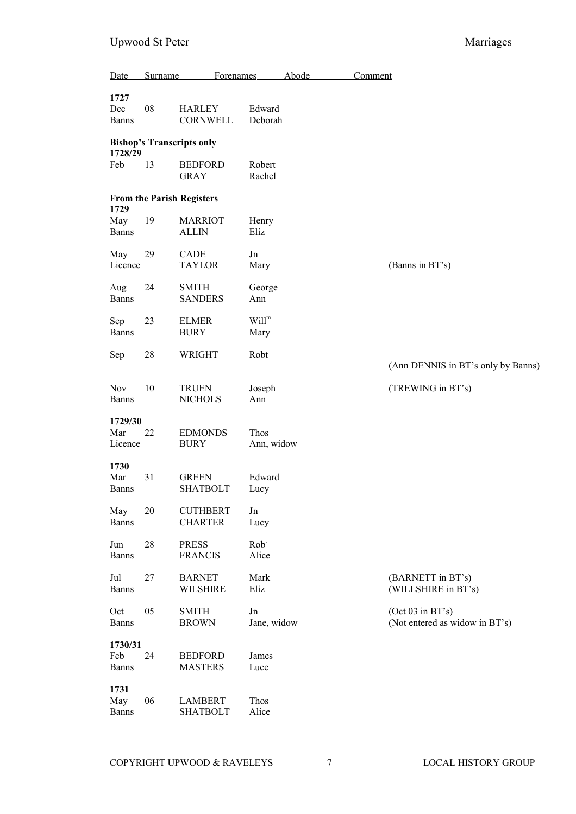| Date                        | Surname | <b>Forenames</b>                  |                           | Abode | Comment                                            |  |
|-----------------------------|---------|-----------------------------------|---------------------------|-------|----------------------------------------------------|--|
| 1727<br>Dec<br><b>Banns</b> | 08      | <b>HARLEY</b><br>CORNWELL         | Edward<br>Deborah         |       |                                                    |  |
| 1728/29                     |         | <b>Bishop's Transcripts only</b>  |                           |       |                                                    |  |
| Feb                         | 13      | <b>BEDFORD</b><br><b>GRAY</b>     | Robert<br>Rachel          |       |                                                    |  |
| 1729                        |         | <b>From the Parish Registers</b>  |                           |       |                                                    |  |
| May<br>Banns                | 19      | <b>MARRIOT</b><br><b>ALLIN</b>    | Henry<br>Eliz             |       |                                                    |  |
| May<br>Licence              | 29      | CADE<br><b>TAYLOR</b>             | Jn<br>Mary                |       | (Banns in BT's)                                    |  |
| Aug<br><b>Banns</b>         | 24      | <b>SMITH</b><br><b>SANDERS</b>    | George<br>Ann             |       |                                                    |  |
| Sep<br><b>Banns</b>         | 23      | <b>ELMER</b><br><b>BURY</b>       | Will <sup>m</sup><br>Mary |       |                                                    |  |
| Sep                         | 28      | WRIGHT                            | Robt                      |       | (Ann DENNIS in BT's only by Banns)                 |  |
| <b>Nov</b><br><b>Banns</b>  | 10      | <b>TRUEN</b><br><b>NICHOLS</b>    | Joseph<br>Ann             |       | (TREWING in BT's)                                  |  |
| 1729/30<br>Mar<br>Licence   | 22      | <b>EDMONDS</b><br><b>BURY</b>     | Thos<br>Ann, widow        |       |                                                    |  |
| 1730<br>Mar<br><b>Banns</b> | 31      | <b>GREEN</b><br><b>SHATBOLT</b>   | Edward<br>Lucy            |       |                                                    |  |
| May<br>Banns                | 20      | <b>CUTHBERT</b><br><b>CHARTER</b> | Jn<br>Lucy                |       |                                                    |  |
| Jun<br>Banns                | 28      | <b>PRESS</b><br><b>FRANCIS</b>    | Rob <sup>t</sup><br>Alice |       |                                                    |  |
| Jul<br>Banns                | 27      | <b>BARNET</b><br><b>WILSHIRE</b>  | Mark<br>Eliz              |       | (BARNETT in BT's)<br>(WILLSHIRE in BT's)           |  |
| Oct<br>Banns                | 05      | <b>SMITH</b><br><b>BROWN</b>      | Jn<br>Jane, widow         |       | (Oct 03 in BT's)<br>(Not entered as widow in BT's) |  |
| 1730/31<br>Feb<br>Banns     | 24      | <b>BEDFORD</b><br><b>MASTERS</b>  | James<br>Luce             |       |                                                    |  |
| 1731<br>May<br><b>Banns</b> | 06      | <b>LAMBERT</b><br><b>SHATBOLT</b> | Thos<br>Alice             |       |                                                    |  |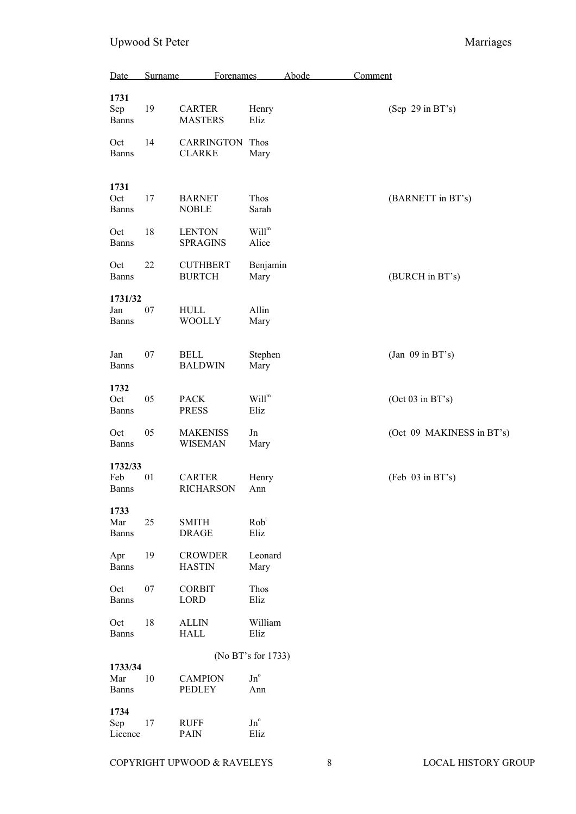| Date                           | Surname | Forenames                          |                                      | <b>Abode</b> | Comment |                           |
|--------------------------------|---------|------------------------------------|--------------------------------------|--------------|---------|---------------------------|
| 1731<br>Sep<br><b>Banns</b>    | 19      | <b>CARTER</b><br><b>MASTERS</b>    | Henry<br>Eliz                        |              |         | (Sep 29 in BT's)          |
| Oct<br><b>Banns</b>            | 14      | <b>CARRINGTON</b><br><b>CLARKE</b> | Thos<br>Mary                         |              |         |                           |
| 1731<br>Oct<br><b>Banns</b>    | 17      | <b>BARNET</b><br><b>NOBLE</b>      | Thos<br>Sarah                        |              |         | (BARNETT in BT's)         |
| Oct<br><b>Banns</b>            | 18      | <b>LENTON</b><br><b>SPRAGINS</b>   | Will <sup>m</sup><br>Alice           |              |         |                           |
| Oct<br><b>Banns</b>            | 22      | <b>CUTHBERT</b><br><b>BURTCH</b>   | Benjamin<br>Mary                     |              |         | (BURCH in BT's)           |
| 1731/32<br>Jan<br><b>Banns</b> | 07      | <b>HULL</b><br><b>WOOLLY</b>       | Allin<br>Mary                        |              |         |                           |
| Jan<br><b>Banns</b>            | 07      | <b>BELL</b><br><b>BALDWIN</b>      | Stephen<br>Mary                      |              |         | (Jan $09$ in BT's)        |
| 1732<br>Oct<br><b>Banns</b>    | 05      | <b>PACK</b><br><b>PRESS</b>        | $\text{Will}^{\text{m}}$<br>Eliz     |              |         | (Oct 03 in BT's)          |
| Oct<br><b>Banns</b>            | 05      | <b>MAKENISS</b><br><b>WISEMAN</b>  | Jn<br>Mary                           |              |         | (Oct 09 MAKINESS in BT's) |
| 1732/33<br>Feb<br><b>Banns</b> | 01      | <b>CARTER</b><br><b>RICHARSON</b>  | Henry<br>Ann                         |              |         | (Feb 03 in BT's)          |
| 1733<br>Mar<br><b>Banns</b>    | 25      | <b>SMITH</b><br><b>DRAGE</b>       | Rob <sup>t</sup><br>Eliz             |              |         |                           |
| Apr<br><b>Banns</b>            | 19      | <b>CROWDER</b><br><b>HASTIN</b>    | Leonard<br>Mary                      |              |         |                           |
| Oct<br><b>Banns</b>            | 07      | <b>CORBIT</b><br><b>LORD</b>       | Thos<br>Eliz                         |              |         |                           |
| Oct<br><b>Banns</b>            | 18      | <b>ALLIN</b><br><b>HALL</b>        | William<br>Eliz                      |              |         |                           |
|                                |         |                                    | (No BT's for 1733)                   |              |         |                           |
| 1733/34<br>Mar<br><b>Banns</b> | 10      | <b>CAMPION</b><br><b>PEDLEY</b>    | $\,\mathrm{Jn}^{\mathrm{o}}$<br>Ann  |              |         |                           |
| 1734<br>Sep<br>Licence         | 17      | <b>RUFF</b><br>PAIN                | $\,\mathrm{Jn}^{\mathrm{o}}$<br>Eliz |              |         |                           |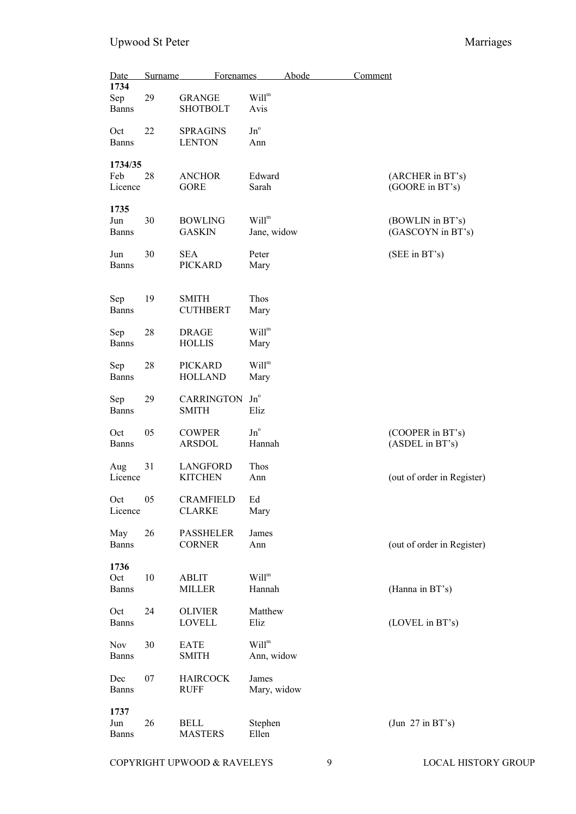| Date                        | Surname | <b>Forenames</b>                  |                                  | Abode | Comment |                                       |
|-----------------------------|---------|-----------------------------------|----------------------------------|-------|---------|---------------------------------------|
| 1734<br>Sep<br><b>Banns</b> | 29      | <b>GRANGE</b><br><b>SHOTBOLT</b>  | Will <sup>m</sup><br>Avis        |       |         |                                       |
| Oct<br><b>Banns</b>         | 22      | <b>SPRAGINS</b><br><b>LENTON</b>  | $Jn^{\circ}$<br>Ann              |       |         |                                       |
| 1734/35<br>Feb<br>Licence   | 28      | <b>ANCHOR</b><br><b>GORE</b>      | Edward<br>Sarah                  |       |         | (ARCHER in BT's)<br>(GOORE in BT's)   |
| 1735<br>Jun<br><b>Banns</b> | 30      | <b>BOWLING</b><br><b>GASKIN</b>   | Will <sup>m</sup><br>Jane, widow |       |         | (BOWLIN in BT's)<br>(GASCOYN in BT's) |
| Jun<br><b>Banns</b>         | 30      | <b>SEA</b><br><b>PICKARD</b>      | Peter<br>Mary                    |       |         | (SEE in BT's)                         |
| Sep<br><b>Banns</b>         | 19      | <b>SMITH</b><br><b>CUTHBERT</b>   | Thos<br>Mary                     |       |         |                                       |
| Sep<br><b>Banns</b>         | 28      | <b>DRAGE</b><br><b>HOLLIS</b>     | Will <sup>m</sup><br>Mary        |       |         |                                       |
| Sep<br><b>Banns</b>         | 28      | <b>PICKARD</b><br><b>HOLLAND</b>  | Will <sup>m</sup><br>Mary        |       |         |                                       |
| Sep<br><b>Banns</b>         | 29      | CARRINGTON Jn°<br><b>SMITH</b>    | Eliz                             |       |         |                                       |
| Oct<br><b>Banns</b>         | 05      | <b>COWPER</b><br><b>ARSDOL</b>    | $Jn^{\circ}$<br>Hannah           |       |         | (COOPER in BT's)<br>(ASDEL in BT's)   |
| Aug<br>Licence              | 31      | LANGFORD<br><b>KITCHEN</b>        | Thos<br>Ann                      |       |         | (out of order in Register)            |
| Oct<br>Licence              | 05      | <b>CRAMFIELD</b><br><b>CLARKE</b> | Ed<br>Mary                       |       |         |                                       |
| May<br><b>Banns</b>         | 26      | <b>PASSHELER</b><br><b>CORNER</b> | James<br>Ann                     |       |         | (out of order in Register)            |
| 1736<br>Oct<br><b>Banns</b> | 10      | ABLIT<br><b>MILLER</b>            | Will <sup>m</sup><br>Hannah      |       |         | (Hanna in BT's)                       |
| Oct<br><b>Banns</b>         | 24      | <b>OLIVIER</b><br><b>LOVELL</b>   | Matthew<br>Eliz                  |       |         | (LOVEL in BT's)                       |
| Nov<br><b>Banns</b>         | 30      | <b>EATE</b><br><b>SMITH</b>       | Will <sup>m</sup><br>Ann, widow  |       |         |                                       |
| Dec<br><b>Banns</b>         | 07      | <b>HAIRCOCK</b><br><b>RUFF</b>    | James<br>Mary, widow             |       |         |                                       |
| 1737<br>Jun<br><b>Banns</b> | 26      | BELL<br><b>MASTERS</b>            | Stephen<br>Ellen                 |       |         | (Jun 27 in BT's)                      |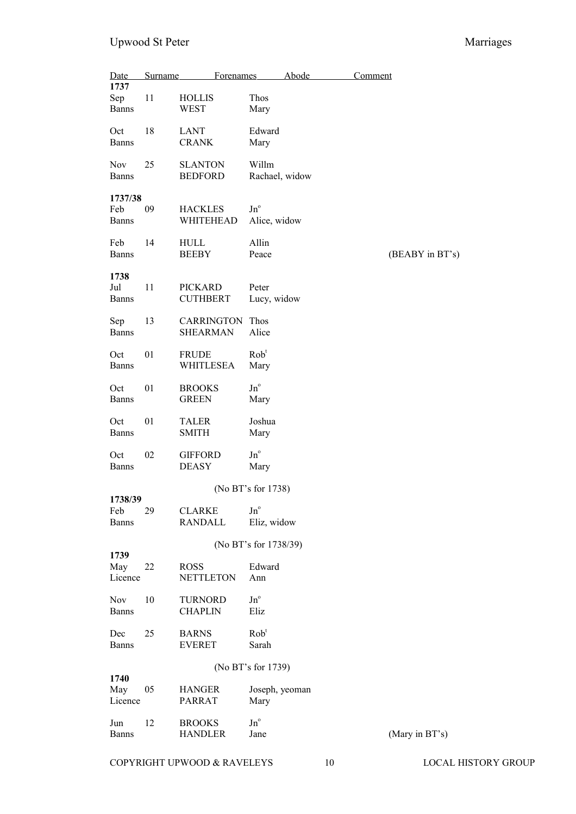| Date<br>1737                   | Surname | Forenames                            |                                      | Abode | Comment         |
|--------------------------------|---------|--------------------------------------|--------------------------------------|-------|-----------------|
| Sep<br><b>Banns</b>            | 11      | <b>HOLLIS</b><br>WEST                | Thos<br>Mary                         |       |                 |
| Oct<br><b>Banns</b>            | 18      | <b>LANT</b><br><b>CRANK</b>          | Edward<br>Mary                       |       |                 |
| Nov<br>Banns                   | 25      | <b>SLANTON</b><br><b>BEDFORD</b>     | Willm<br>Rachael, widow              |       |                 |
| 1737/38<br>Feb<br>Banns        | 09      | <b>HACKLES</b><br>WHITEHEAD          | $Jn^{\circ}$<br>Alice, widow         |       |                 |
| Feb<br>Banns                   | 14      | HULL<br><b>BEEBY</b>                 | Allin<br>Peace                       |       | (BEABY in BT's) |
| 1738<br>Jul<br><b>Banns</b>    | 11      | <b>PICKARD</b><br><b>CUTHBERT</b>    | Peter<br>Lucy, widow                 |       |                 |
| Sep<br>Banns                   | 13      | <b>CARRINGTON</b><br><b>SHEARMAN</b> | Thos<br>Alice                        |       |                 |
| Oct<br><b>Banns</b>            | 01      | <b>FRUDE</b><br>WHITLESEA            | Rob <sup>t</sup><br>Mary             |       |                 |
| Oct<br>Banns                   | 01      | <b>BROOKS</b><br><b>GREEN</b>        | $\,\mathrm{Jn}^{\mathrm{o}}$<br>Mary |       |                 |
| Oct<br>Banns                   | 01      | <b>TALER</b><br><b>SMITH</b>         | Joshua<br>Mary                       |       |                 |
| Oct<br><b>Banns</b>            | 02      | <b>GIFFORD</b><br><b>DEASY</b>       | $Jn^{\circ}$<br>Mary                 |       |                 |
|                                |         |                                      | (No BT's for 1738)                   |       |                 |
| 1738/39<br>Feb<br><b>Banns</b> | 29      | <b>CLARKE</b><br><b>RANDALL</b>      | $Jn^{\circ}$<br>Eliz, widow          |       |                 |
|                                |         |                                      | (No BT's for 1738/39)                |       |                 |
| 1739<br>May<br>Licence         | 22      | <b>ROSS</b><br><b>NETTLETON</b>      | Edward<br>Ann                        |       |                 |
| Nov<br><b>Banns</b>            | 10      | <b>TURNORD</b><br><b>CHAPLIN</b>     | $Jn^{\circ}$<br>Eliz                 |       |                 |
| Dec<br>Banns                   | 25      | <b>BARNS</b><br><b>EVERET</b>        | Rob <sup>t</sup><br>Sarah            |       |                 |
|                                |         |                                      | (No BT's for 1739)                   |       |                 |
| 1740<br>May<br>Licence         | 05      | <b>HANGER</b><br><b>PARRAT</b>       | Joseph, yeoman<br>Mary               |       |                 |
| Jun<br>Banns                   | 12      | <b>BROOKS</b><br><b>HANDLER</b>      | $\,\mathrm{Jn}^{\mathrm{o}}$<br>Jane |       | (Mary in BT's)  |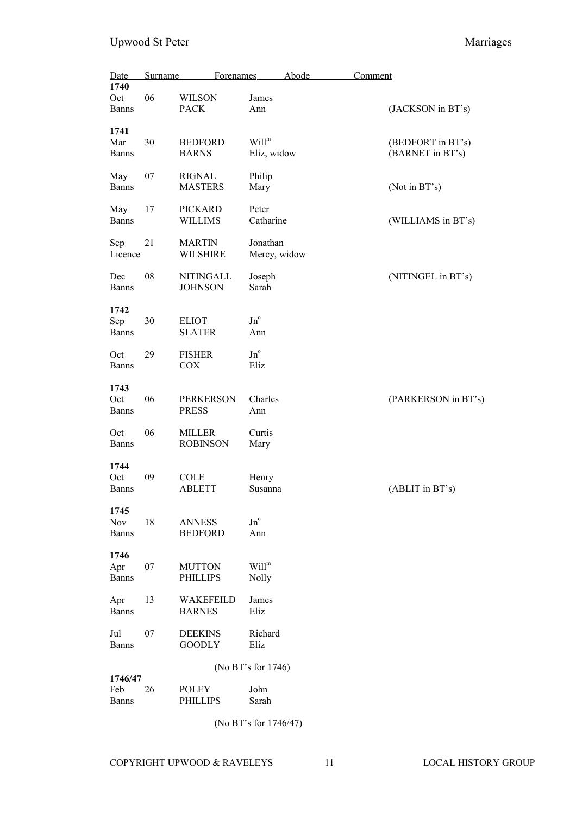| Date<br>1740                   | Surname | Forenames                          |                                  | Abode | Comment |                                       |
|--------------------------------|---------|------------------------------------|----------------------------------|-------|---------|---------------------------------------|
| Oct<br>Banns                   | 06      | <b>WILSON</b><br><b>PACK</b>       | James<br>Ann                     |       |         | (JACKSON in BT's)                     |
| 1741<br>Mar<br><b>Banns</b>    | 30      | <b>BEDFORD</b><br><b>BARNS</b>     | Will <sup>m</sup><br>Eliz, widow |       |         | (BEDFORT in BT's)<br>(BARNET in BT's) |
| May<br><b>Banns</b>            | 07      | <b>RIGNAL</b><br><b>MASTERS</b>    | Philip<br>Mary                   |       |         | (Not in BT's)                         |
| May<br><b>Banns</b>            | 17      | <b>PICKARD</b><br><b>WILLIMS</b>   | Peter<br>Catharine               |       |         | (WILLIAMS in BT's)                    |
| Sep<br>Licence                 | 21      | <b>MARTIN</b><br><b>WILSHIRE</b>   | Jonathan<br>Mercy, widow         |       |         |                                       |
| Dec<br><b>Banns</b>            | 08      | <b>NITINGALL</b><br><b>JOHNSON</b> | Joseph<br>Sarah                  |       |         | (NITINGEL in BT's)                    |
| 1742<br>Sep<br><b>Banns</b>    | 30      | <b>ELIOT</b><br><b>SLATER</b>      | $\mathrm{Jn}^{\circ}$<br>Ann     |       |         |                                       |
| Oct<br><b>Banns</b>            | 29      | <b>FISHER</b><br><b>COX</b>        | $Jn^{\circ}$<br>Eliz             |       |         |                                       |
| 1743<br>Oct<br><b>Banns</b>    | 06      | <b>PERKERSON</b><br><b>PRESS</b>   | Charles<br>Ann                   |       |         | (PARKERSON in BT's)                   |
| Oct<br><b>Banns</b>            | 06      | <b>MILLER</b><br><b>ROBINSON</b>   | Curtis<br>Mary                   |       |         |                                       |
| 1744<br>Oct<br><b>Banns</b>    | 09      | <b>COLE</b><br><b>ABLETT</b>       | Henry<br>Susanna                 |       |         | (ABLIT in BT's)                       |
| 1745<br>Nov<br><b>Banns</b>    | 18      | <b>ANNESS</b><br><b>BEDFORD</b>    | $Jn^{\circ}$<br>Ann              |       |         |                                       |
| 1746<br>Apr<br><b>Banns</b>    | 07      | <b>MUTTON</b><br><b>PHILLIPS</b>   | Will <sup>m</sup><br>Nolly       |       |         |                                       |
| Apr<br><b>Banns</b>            | 13      | WAKEFEILD<br><b>BARNES</b>         | James<br>Eliz                    |       |         |                                       |
| Jul<br><b>Banns</b>            | 07      | <b>DEEKINS</b><br><b>GOODLY</b>    | Richard<br>Eliz                  |       |         |                                       |
|                                |         |                                    | (No BT's for 1746)               |       |         |                                       |
| 1746/47<br>Feb<br><b>Banns</b> | 26      | <b>POLEY</b><br><b>PHILLIPS</b>    | John<br>Sarah                    |       |         |                                       |

(No BT's for 1746/47)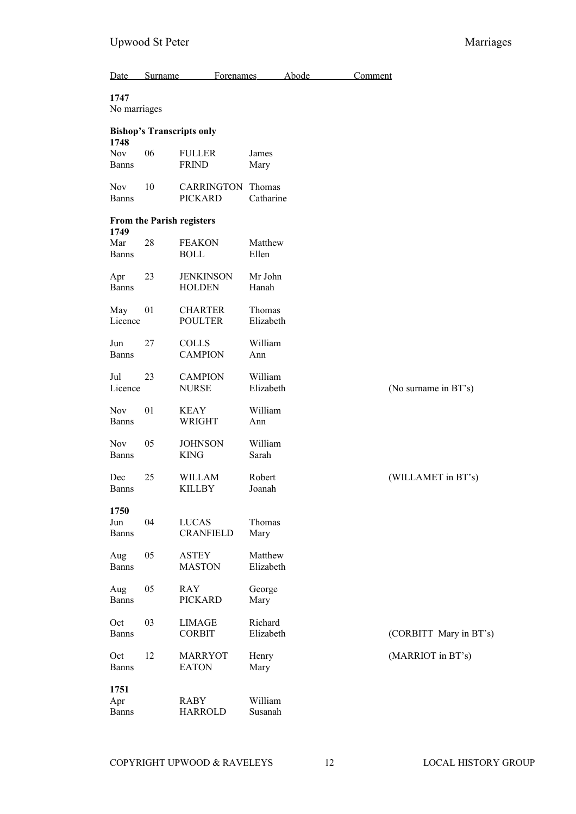| Date                               | Surname | <b>Forenames</b>                    |                      | Abode | Comment |                        |
|------------------------------------|---------|-------------------------------------|----------------------|-------|---------|------------------------|
| 1747<br>No marriages               |         |                                     |                      |       |         |                        |
|                                    |         | <b>Bishop's Transcripts only</b>    |                      |       |         |                        |
| 1748<br><b>Nov</b><br><b>Banns</b> | 06      | <b>FULLER</b><br><b>FRIND</b>       | James<br>Mary        |       |         |                        |
| <b>Nov</b><br><b>Banns</b>         | 10      | <b>CARRINGTON</b><br><b>PICKARD</b> | Thomas<br>Catharine  |       |         |                        |
| 1749                               |         | From the Parish registers           |                      |       |         |                        |
| Mar<br><b>Banns</b>                | 28      | <b>FEAKON</b><br><b>BOLL</b>        | Matthew<br>Ellen     |       |         |                        |
| Apr<br><b>Banns</b>                | 23      | <b>JENKINSON</b><br><b>HOLDEN</b>   | Mr John<br>Hanah     |       |         |                        |
| May<br>Licence                     | 01      | <b>CHARTER</b><br><b>POULTER</b>    | Thomas<br>Elizabeth  |       |         |                        |
| Jun<br><b>Banns</b>                | 27      | <b>COLLS</b><br><b>CAMPION</b>      | William<br>Ann       |       |         |                        |
| Jul<br>Licence                     | 23      | <b>CAMPION</b><br><b>NURSE</b>      | William<br>Elizabeth |       |         | (No surname in BT's)   |
| <b>Nov</b><br><b>Banns</b>         | 01      | <b>KEAY</b><br><b>WRIGHT</b>        | William<br>Ann       |       |         |                        |
| <b>Nov</b><br><b>Banns</b>         | 05      | <b>JOHNSON</b><br><b>KING</b>       | William<br>Sarah     |       |         |                        |
| Dec<br><b>Banns</b>                | 25      | WILLAM<br>KILLBY                    | Robert<br>Joanah     |       |         | (WILLAMET in BT's)     |
| 1750<br>Jun<br><b>Banns</b>        | 04      | <b>LUCAS</b><br><b>CRANFIELD</b>    | Thomas<br>Mary       |       |         |                        |
| Aug<br><b>Banns</b>                | 05      | <b>ASTEY</b><br><b>MASTON</b>       | Matthew<br>Elizabeth |       |         |                        |
| Aug<br><b>Banns</b>                | 05      | <b>RAY</b><br><b>PICKARD</b>        | George<br>Mary       |       |         |                        |
| Oct<br><b>Banns</b>                | 03      | <b>LIMAGE</b><br><b>CORBIT</b>      | Richard<br>Elizabeth |       |         | (CORBITT Mary in BT's) |
| Oct<br><b>Banns</b>                | 12      | <b>MARRYOT</b><br><b>EATON</b>      | Henry<br>Mary        |       |         | (MARRIOT in BT's)      |
| 1751<br>Apr<br><b>Banns</b>        |         | <b>RABY</b><br><b>HARROLD</b>       | William<br>Susanah   |       |         |                        |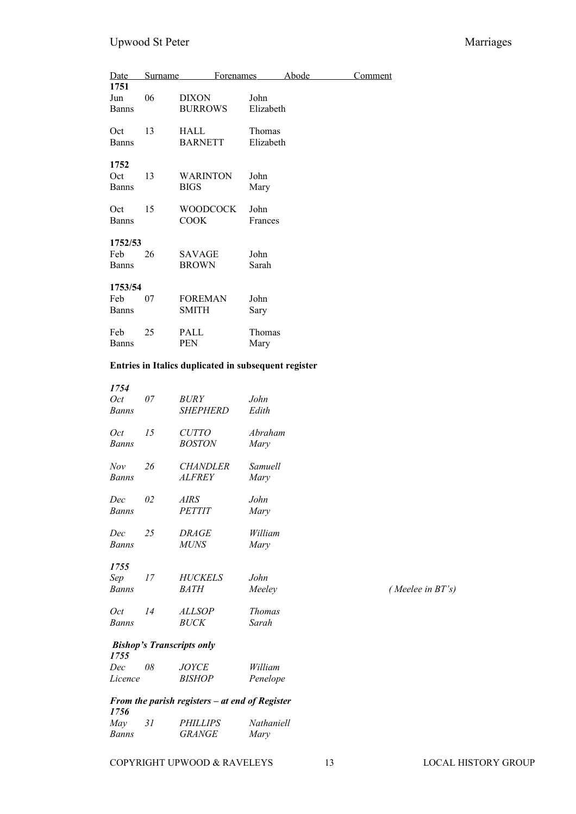| Date                           | Surname | <b>Forenames</b>               |                     | Abode | <b>Comment</b> |
|--------------------------------|---------|--------------------------------|---------------------|-------|----------------|
| 1751<br>Jun<br><b>Banns</b>    | 06      | <b>DIXON</b><br><b>BURROWS</b> | John<br>Elizabeth   |       |                |
| Oct<br><b>Banns</b>            | 13      | <b>HALL</b><br><b>BARNETT</b>  | Thomas<br>Elizabeth |       |                |
| 1752<br>Oct<br><b>Banns</b>    | 13      | <b>WARINTON</b><br><b>BIGS</b> | John<br>Mary        |       |                |
| Oct<br><b>Banns</b>            | 15      | <b>WOODCOCK</b><br><b>COOK</b> | John<br>Frances     |       |                |
| 1752/53<br>Feb<br><b>Banns</b> | 26      | SAVAGE<br><b>BROWN</b>         | John<br>Sarah       |       |                |
| 1753/54<br>Feb<br><b>Banns</b> | 07      | <b>FOREMAN</b><br><b>SMITH</b> | John<br>Sary        |       |                |
| Feb<br><b>Banns</b>            | 25      | PALL<br><b>PEN</b>             | Thomas<br>Mary      |       |                |

## **Entries in Italics duplicated in subsequent register**

| 1754                |    |                                                |                        |                     |
|---------------------|----|------------------------------------------------|------------------------|---------------------|
| Oct<br>Banns        | 07 | <i>BURY</i><br><b>SHEPHERD</b>                 | John<br>Edith          |                     |
| Oct<br>Banns        | 15 | <b>CUTTO</b><br><b>BOSTON</b>                  | Abraham<br>Mary        |                     |
| Nov<br>Banns        | 26 | <b>CHANDLER</b><br><b>ALFREY</b>               | Samuell<br>Mary        |                     |
| Dec<br><b>Banns</b> | 02 | $\mathit{AIRS}$<br><b>PETTIT</b>               | John<br>Mary           |                     |
| Dec<br>Banns        | 25 | <i>DRAGE</i><br><b>MUNS</b>                    | William<br>Mary        |                     |
| 1755                |    |                                                |                        |                     |
| Sep<br>Banns        | 17 | <b>HUCKELS</b><br>BATH                         | John<br>Meeley         | (Meelee in $BT$ 's) |
| Oct<br><b>Banns</b> | 14 | <b>ALLSOP</b><br><b>BUCK</b>                   | <b>Thomas</b><br>Sarah |                     |
| 1755                |    | <b>Bishop's Transcripts only</b>               |                        |                     |
| Dec<br>Licence      | 08 | <b>JOYCE</b><br><b>BISHOP</b>                  | William<br>Penelope    |                     |
| 1756                |    | From the parish registers – at end of Register |                        |                     |
| May<br>Banns        | 31 | <b>PHILLIPS</b><br><b>GRANGE</b>               | Nathaniell<br>Mary     |                     |
|                     |    |                                                |                        |                     |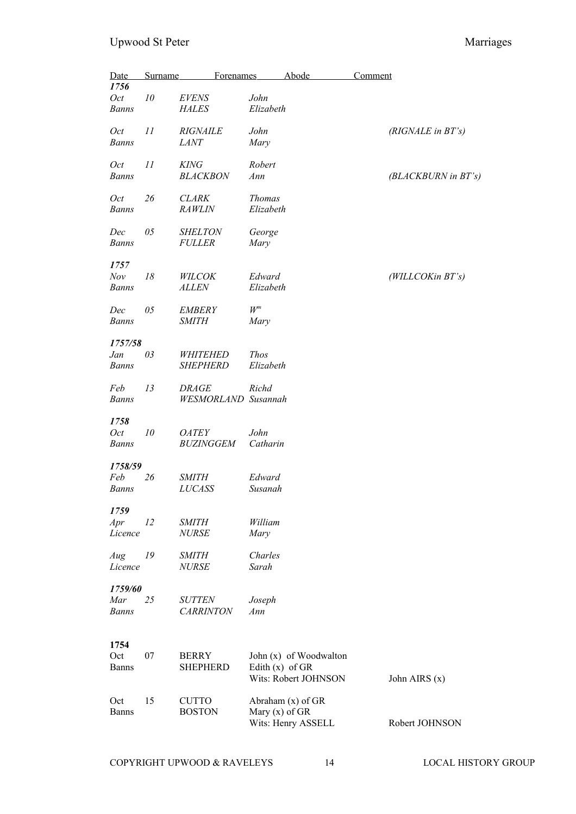| Date<br>1756                   | <b>Surname</b> | <b>Forenames</b>                           |                            | <b>Abode</b>                                     | Comment                |
|--------------------------------|----------------|--------------------------------------------|----------------------------|--------------------------------------------------|------------------------|
| Oct<br><b>Banns</b>            | 10             | <b>EVENS</b><br><b>HALES</b>               | John<br>Elizabeth          |                                                  |                        |
| Oct<br><b>Banns</b>            | 11             | <b>RIGNAILE</b><br><b>LANT</b>             | John<br>Mary               |                                                  | $(RIGNALE$ in $BT$ 's) |
| Oct<br><b>Banns</b>            | 11             | <b>KING</b><br><b>BLACKBON</b>             | Robert<br>Ann              |                                                  | (BLACKBURN in BT's)    |
| <i>Oct</i><br><b>Banns</b>     | 26             | <b>CLARK</b><br><b>RAWLIN</b>              | <b>Thomas</b><br>Elizabeth |                                                  |                        |
| Dec<br><b>Banns</b>            | 05             | <b>SHELTON</b><br><b>FULLER</b>            | George<br>Mary             |                                                  |                        |
| 1757<br>Nov<br><b>Banns</b>    | 18             | WILCOK<br><b>ALLEN</b>                     | Edward<br>Elizabeth        |                                                  | (WILLCOKin BT's)       |
| Dec<br><b>Banns</b>            | 05             | <b>EMBERY</b><br><b>SMITH</b>              | ${\cal W}^m$<br>Mary       |                                                  |                        |
| 1757/58<br>Jan<br><b>Banns</b> | 03             | <b>WHITEHED</b><br><b>SHEPHERD</b>         | <b>Thos</b><br>Elizabeth   |                                                  |                        |
| Feb<br><b>Banns</b>            | 13             | <b>DRAGE</b><br><b>WESMORLAND</b> Susannah | Richd                      |                                                  |                        |
| 1758<br>Oct<br><b>Banns</b>    | 10             | <b>OATEY</b><br><b>BUZINGGEM</b>           | John<br>Catharin           |                                                  |                        |
| 1758/59<br>Feb<br>Banns        | 26             | <b>SMITH</b><br><b>LUCASS</b>              | Edward<br>Susanah          |                                                  |                        |
| 1759<br>Apr<br>Licence         | 12             | <b>SMITH</b><br><b>NURSE</b>               | William<br>Mary            |                                                  |                        |
| Aug<br>Licence                 | 19             | <b>SMITH</b><br><b>NURSE</b>               | Charles<br>Sarah           |                                                  |                        |
| 1759/60<br>Mar<br><b>Banns</b> | 25             | <b>SUTTEN</b><br><b>CARRINTON</b>          | Joseph<br>Ann              |                                                  |                        |
| 1754<br>Oct<br><b>Banns</b>    | 07             | <b>BERRY</b><br><b>SHEPHERD</b>            | Edith $(x)$ of GR          | John $(x)$ of Woodwalton<br>Wits: Robert JOHNSON | John AIRS (x)          |
| Oct<br><b>Banns</b>            | 15             | <b>CUTTO</b><br><b>BOSTON</b>              | Mary $(x)$ of GR           | Abraham (x) of GR<br>Wits: Henry ASSELL          | Robert JOHNSON         |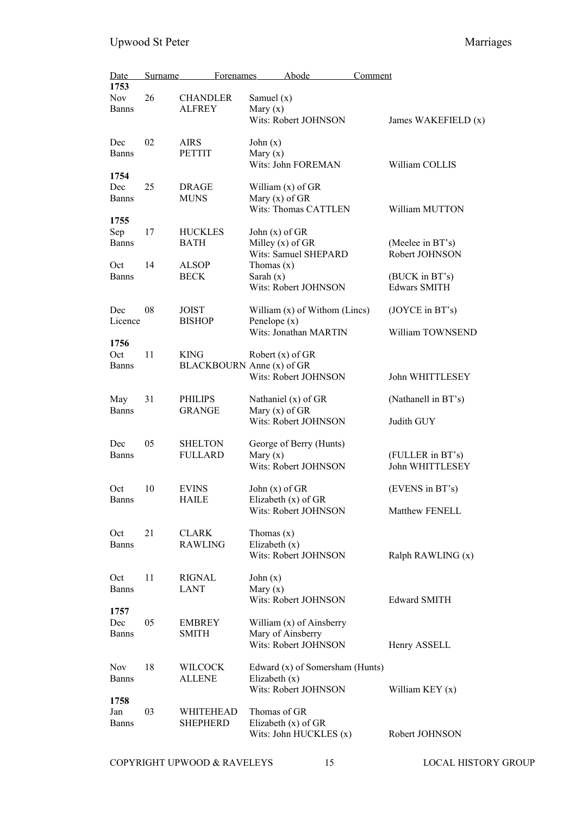| Date                | <b>Surname</b> | <b>Forenames</b>                 |                          | Abode                                      | Comment             |                                    |
|---------------------|----------------|----------------------------------|--------------------------|--------------------------------------------|---------------------|------------------------------------|
| 1753                |                |                                  |                          |                                            |                     |                                    |
| <b>Nov</b>          | 26             | <b>CHANDLER</b>                  | Samuel $(x)$             |                                            |                     |                                    |
| <b>Banns</b>        |                | <b>ALFREY</b>                    | Mary $(x)$               | Wits: Robert JOHNSON                       |                     | James WAKEFIELD (x)                |
|                     |                |                                  |                          |                                            |                     |                                    |
| Dec                 | 02             | <b>AIRS</b>                      | John $(x)$               |                                            |                     |                                    |
| <b>Banns</b>        |                | <b>PETTIT</b>                    | Mary $(x)$               |                                            |                     |                                    |
|                     |                |                                  |                          | Wits: John FOREMAN                         |                     | William COLLIS                     |
| 1754<br>Dec         | 25             | <b>DRAGE</b>                     |                          | William (x) of GR                          |                     |                                    |
| <b>Banns</b>        |                | <b>MUNS</b>                      | Mary $(x)$ of GR         |                                            |                     |                                    |
|                     |                |                                  |                          | Wits: Thomas CATTLEN                       |                     | William MUTTON                     |
| 1755                |                |                                  |                          |                                            |                     |                                    |
| Sep                 | 17             | <b>HUCKLES</b>                   | John $(x)$ of GR         |                                            |                     |                                    |
| <b>Banns</b>        |                | <b>BATH</b>                      |                          | Milley $(x)$ of GR<br>Wits: Samuel SHEPARD |                     | (Meelee in BT's)<br>Robert JOHNSON |
| Oct                 | 14             | <b>ALSOP</b>                     | Thomas $(x)$             |                                            |                     |                                    |
| <b>Banns</b>        |                | <b>BECK</b>                      | Sarah $(x)$              |                                            |                     | (BUCK in BT's)                     |
|                     |                |                                  |                          | Wits: Robert JOHNSON                       | <b>Edwars SMITH</b> |                                    |
|                     |                |                                  |                          |                                            |                     |                                    |
| Dec                 | 08             | <b>JOIST</b>                     |                          | William $(x)$ of Withom (Lincs)            |                     | (JOYCE in BT's)                    |
| Licence             |                | <b>BISHOP</b>                    | Penelope $(x)$           | Wits: Jonathan MARTIN                      |                     | William TOWNSEND                   |
| 1756                |                |                                  |                          |                                            |                     |                                    |
| Oct                 | 11             | <b>KING</b>                      |                          | Robert $(x)$ of GR                         |                     |                                    |
| <b>Banns</b>        |                | BLACKBOURN Anne (x) of GR        |                          |                                            |                     |                                    |
|                     |                |                                  |                          | Wits: Robert JOHNSON                       |                     | John WHITTLESEY                    |
| May                 | 31             | <b>PHILIPS</b>                   |                          | Nathaniel $(x)$ of GR                      |                     | (Nathanell in BT's)                |
| <b>Banns</b>        |                | <b>GRANGE</b>                    | Mary $(x)$ of GR         |                                            |                     |                                    |
|                     |                |                                  |                          | Wits: Robert JOHNSON                       | Judith GUY          |                                    |
|                     |                |                                  |                          |                                            |                     |                                    |
| Dec<br><b>Banns</b> | 05             | <b>SHELTON</b><br><b>FULLARD</b> | Mary $(x)$               | George of Berry (Hunts)                    |                     | (FULLER in BT's)                   |
|                     |                |                                  |                          | Wits: Robert JOHNSON                       |                     | John WHITTLESEY                    |
|                     |                |                                  |                          |                                            |                     |                                    |
| Oct                 | 10             | <b>EVINS</b>                     | John $(x)$ of GR         |                                            |                     | (EVENS in BT's)                    |
| <b>Banns</b>        |                | HAILE                            |                          | Elizabeth $(x)$ of GR                      |                     |                                    |
|                     |                |                                  |                          | Wits: Robert JOHNSON                       |                     | Matthew FENELL                     |
| Oct                 | 21             | <b>CLARK</b>                     | Thomas $(x)$             |                                            |                     |                                    |
| <b>Banns</b>        |                | <b>RAWLING</b>                   | Elizabeth $(x)$          |                                            |                     |                                    |
|                     |                |                                  |                          | Wits: Robert JOHNSON                       |                     | Ralph RAWLING (x)                  |
|                     | 11             |                                  |                          |                                            |                     |                                    |
| Oct<br><b>Banns</b> |                | <b>RIGNAL</b><br><b>LANT</b>     | John $(x)$<br>Mary $(x)$ |                                            |                     |                                    |
|                     |                |                                  |                          | Wits: Robert JOHNSON                       | <b>Edward SMITH</b> |                                    |
| 1757                |                |                                  |                          |                                            |                     |                                    |
| Dec                 | 05             | <b>EMBREY</b>                    |                          | William (x) of Ainsberry                   |                     |                                    |
| Banns               |                | <b>SMITH</b>                     |                          | Mary of Ainsberry                          |                     |                                    |
|                     |                |                                  |                          | Wits: Robert JOHNSON                       | Henry ASSELL        |                                    |
| Nov                 | 18             | WILCOCK                          |                          | Edward (x) of Somersham (Hunts)            |                     |                                    |
| <b>Banns</b>        |                | <b>ALLENE</b>                    | Elizabeth $(x)$          |                                            |                     |                                    |
|                     |                |                                  |                          | Wits: Robert JOHNSON                       |                     | William KEY $(x)$                  |
| 1758                |                |                                  |                          |                                            |                     |                                    |
| Jan<br><b>Banns</b> | 03             | WHITEHEAD<br><b>SHEPHERD</b>     | Thomas of GR             | Elizabeth $(x)$ of GR                      |                     |                                    |
|                     |                |                                  |                          | Wits: John HUCKLES (x)                     |                     | Robert JOHNSON                     |
|                     |                |                                  |                          |                                            |                     |                                    |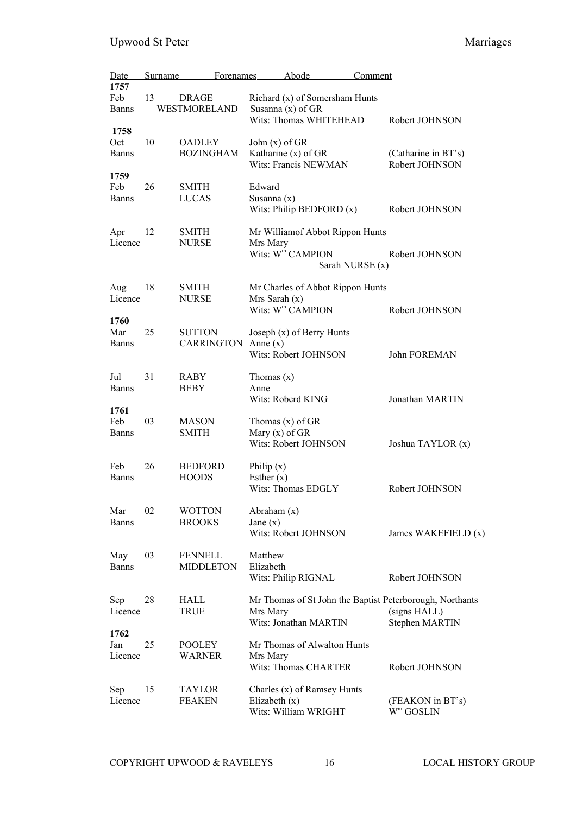| Date                        | Surname | Forenames                          | Abode                                                                                 | Comment                                                                                    |
|-----------------------------|---------|------------------------------------|---------------------------------------------------------------------------------------|--------------------------------------------------------------------------------------------|
| 1757<br>Feb<br><b>Banns</b> | 13      | <b>DRAGE</b><br>WESTMORELAND       | Richard (x) of Somersham Hunts<br>Susanna $(x)$ of GR<br>Wits: Thomas WHITEHEAD       |                                                                                            |
| 1758<br>Oct                 | 10      | <b>OADLEY</b>                      | John $(x)$ of GR                                                                      | Robert JOHNSON                                                                             |
| <b>Banns</b>                |         | <b>BOZINGHAM</b>                   | Katharine (x) of GR<br>Wits: Francis NEWMAN                                           | (Catharine in BT's)<br>Robert JOHNSON                                                      |
| 1759<br>Feb<br>Banns        | 26      | <b>SMITH</b><br>LUCAS              | Edward<br>Susanna $(x)$<br>Wits: Philip BEDFORD $(x)$                                 | Robert JOHNSON                                                                             |
| Apr<br>Licence              | 12      | <b>SMITH</b><br><b>NURSE</b>       | Mr Williamof Abbot Rippon Hunts<br>Mrs Mary<br>Wits: W <sup>m</sup> CAMPION           | Robert JOHNSON<br>Sarah NURSE (x)                                                          |
| Aug<br>Licence              | 18      | <b>SMITH</b><br><b>NURSE</b>       | Mr Charles of Abbot Rippon Hunts<br>$Mrs$ Sarah $(x)$<br>Wits: W <sup>m</sup> CAMPION | Robert JOHNSON                                                                             |
| 1760<br>Mar<br><b>Banns</b> | 25      | <b>SUTTON</b><br><b>CARRINGTON</b> | Joseph (x) of Berry Hunts<br>Anne $(x)$<br>Wits: Robert JOHNSON                       | John FOREMAN                                                                               |
| Jul<br><b>Banns</b>         | 31      | RABY<br><b>BEBY</b>                | Thomas $(x)$<br>Anne<br>Wits: Roberd KING                                             | Jonathan MARTIN                                                                            |
| 1761<br>Feb<br>Banns        | 03      | <b>MASON</b><br><b>SMITH</b>       | Thomas $(x)$ of GR<br>Mary $(x)$ of GR<br>Wits: Robert JOHNSON                        | Joshua TAYLOR (x)                                                                          |
| Feb<br><b>Banns</b>         | 26      | <b>BEDFORD</b><br><b>HOODS</b>     | Philip $(x)$<br>Esther $(x)$<br>Wits: Thomas EDGLY                                    | Robert JOHNSON                                                                             |
| Mar<br><b>Banns</b>         | 02      | <b>WOTTON</b><br><b>BROOKS</b>     | Abraham $(x)$<br>Jane $(x)$<br>Wits: Robert JOHNSON                                   | James WAKEFIELD (x)                                                                        |
| May<br><b>Banns</b>         | 03      | <b>FENNELL</b><br><b>MIDDLETON</b> | Matthew<br>Elizabeth<br>Wits: Philip RIGNAL                                           | Robert JOHNSON                                                                             |
| Sep<br>Licence              | 28      | HALL<br><b>TRUE</b>                | Mrs Mary<br>Wits: Jonathan MARTIN                                                     | Mr Thomas of St John the Baptist Peterborough, Northants<br>(signs HALL)<br>Stephen MARTIN |
| 1762<br>Jan<br>Licence      | 25      | <b>POOLEY</b><br>WARNER            | Mr Thomas of Alwalton Hunts<br>Mrs Mary<br><b>Wits: Thomas CHARTER</b>                | Robert JOHNSON                                                                             |
| Sep<br>Licence              | 15      | TAYLOR<br><b>FEAKEN</b>            | Charles (x) of Ramsey Hunts<br>Elizabeth $(x)$<br>Wits: William WRIGHT                | (FEAKON in BT's)<br>$W^m$ GOSLIN                                                           |

COPYRIGHT UPWOOD & RAVELEYS 16 LOCAL HISTORY GROUP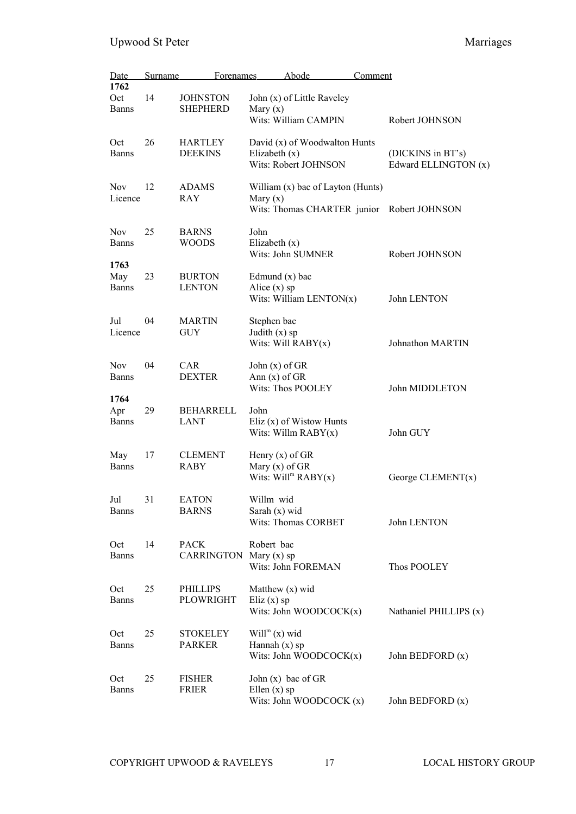| Date<br>1762                | Surname | Forenames                             |                                        | Abode                                                 | Comment |                                            |
|-----------------------------|---------|---------------------------------------|----------------------------------------|-------------------------------------------------------|---------|--------------------------------------------|
| Oct<br><b>Banns</b>         | 14      | <b>JOHNSTON</b><br><b>SHEPHERD</b>    | Mary $(x)$                             | John (x) of Little Raveley<br>Wits: William CAMPIN    |         | Robert JOHNSON                             |
| Oct<br><b>Banns</b>         | 26      | <b>HARTLEY</b><br><b>DEEKINS</b>      | Elizabeth $(x)$                        | David (x) of Woodwalton Hunts<br>Wits: Robert JOHNSON |         | (DICKINS in BT's)<br>Edward ELLINGTON (x)  |
| <b>Nov</b><br>Licence       | 12      | <b>ADAMS</b><br><b>RAY</b>            | Mary $(x)$                             | William (x) bac of Layton (Hunts)                     |         | Wits: Thomas CHARTER junior Robert JOHNSON |
| Nov<br><b>Banns</b>         | 25      | <b>BARNS</b><br><b>WOODS</b>          | John<br>Elizabeth $(x)$                | Wits: John SUMNER                                     |         | Robert JOHNSON                             |
| 1763<br>May<br><b>Banns</b> | 23      | <b>BURTON</b><br><b>LENTON</b>        | Edmund $(x)$ bac<br>Alice $(x)$ sp     | Wits: William LENTON $(x)$                            |         | John LENTON                                |
| Jul<br>Licence              | 04      | <b>MARTIN</b><br><b>GUY</b>           | Stephen bac<br>Judith $(x)$ sp         | Wits: Will RABY(x)                                    |         | Johnathon MARTIN                           |
| <b>Nov</b><br><b>Banns</b>  | 04      | CAR<br><b>DEXTER</b>                  | John $(x)$ of GR<br>Ann $(x)$ of GR    | Wits: Thos POOLEY                                     |         | John MIDDLETON                             |
| 1764<br>Apr<br><b>Banns</b> | 29      | <b>BEHARRELL</b><br><b>LANT</b>       | John                                   | Eliz $(x)$ of Wistow Hunts<br>Wits: Willm $RABY(x)$   |         | John GUY                                   |
| May<br><b>Banns</b>         | 17      | <b>CLEMENT</b><br><b>RABY</b>         | Henry $(x)$ of GR<br>Mary $(x)$ of GR  | Wits: $Willm RABY(x)$                                 |         | George CLEMENT $(x)$                       |
| Jul<br><b>Banns</b>         | 31      | <b>EATON</b><br><b>BARNS</b>          | Willm wid<br>Sarah (x) wid             | Wits: Thomas CORBET                                   |         | John LENTON                                |
| Oct<br><b>Banns</b>         | 14      | <b>PACK</b><br>CARRINGTON Mary (x) sp | Robert bac                             | Wits: John FOREMAN                                    |         | Thos POOLEY                                |
| Oct<br><b>Banns</b>         | 25      | <b>PHILLIPS</b><br>PLOWRIGHT          | Matthew (x) wid<br>Eliz $(x)$ sp       | Wits: John WOODCOC $K(x)$                             |         | Nathaniel PHILLIPS (x)                     |
| Oct<br><b>Banns</b>         | 25      | <b>STOKELEY</b><br><b>PARKER</b>      | $Willm(x)$ wid<br>Hannah $(x)$ sp      | Wits: John WOODCOC $K(x)$                             |         | John BEDFORD (x)                           |
| Oct<br><b>Banns</b>         | 25      | <b>FISHER</b><br><b>FRIER</b>         | John $(x)$ bac of GR<br>Ellen $(x)$ sp | Wits: John WOODCOCK (x)                               |         | John BEDFORD (x)                           |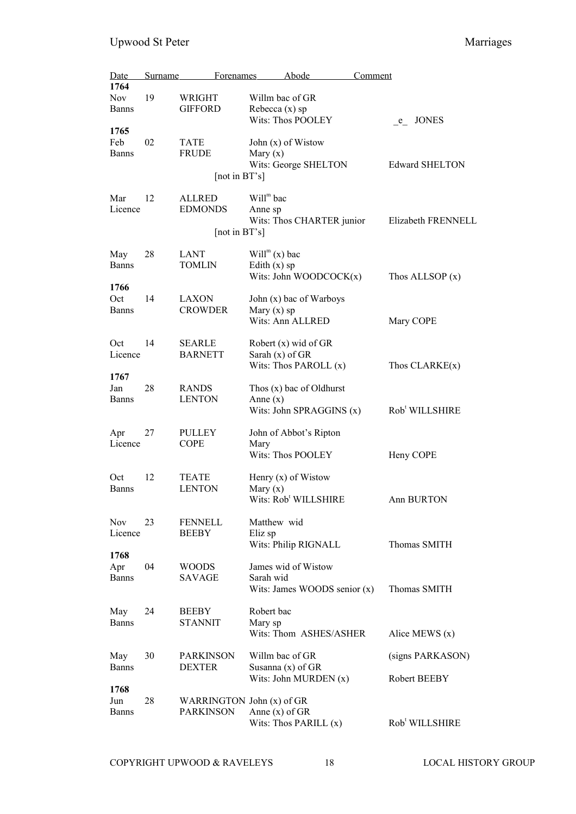| <u>Date</u>         | <b>Surname</b> | <b>Forenames</b>          |                   | Abode                            | Comment |                            |
|---------------------|----------------|---------------------------|-------------------|----------------------------------|---------|----------------------------|
| 1764                |                |                           |                   |                                  |         |                            |
| <b>Nov</b>          | 19             | WRIGHT                    | Willm bac of GR   |                                  |         |                            |
| <b>Banns</b>        |                | <b>GIFFORD</b>            | Rebecca $(x)$ sp  |                                  |         |                            |
|                     |                |                           |                   | Wits: Thos POOLEY                |         | <b>JONES</b><br>e          |
| 1765                |                |                           |                   |                                  |         |                            |
| Feb                 | 02             | <b>TATE</b>               |                   | John $(x)$ of Wistow             |         |                            |
| <b>Banns</b>        |                | <b>FRUDE</b>              | Mary $(x)$        |                                  |         |                            |
|                     |                |                           |                   | Wits: George SHELTON             |         | <b>Edward SHELTON</b>      |
|                     |                | [not in BT's]             |                   |                                  |         |                            |
| Mar                 | 12             | <b>ALLRED</b>             | $Willm$ bac       |                                  |         |                            |
| Licence             |                | <b>EDMONDS</b>            | Anne sp           |                                  |         |                            |
|                     |                |                           |                   | Wits: Thos CHARTER junior        |         | Elizabeth FRENNELL         |
|                     |                | [not in BT's]             |                   |                                  |         |                            |
|                     |                |                           |                   |                                  |         |                            |
| May                 | 28             | <b>LANT</b>               | $Willm(x)$ bac    |                                  |         |                            |
| <b>Banns</b>        |                | <b>TOMLIN</b>             | Edith $(x)$ sp    |                                  |         |                            |
|                     |                |                           |                   | Wits: John WOODCOC $K(x)$        |         | Thos ALLSOP $(x)$          |
| 1766                |                |                           |                   |                                  |         |                            |
| Oct                 | 14             | <b>LAXON</b>              |                   | John (x) bac of Warboys          |         |                            |
| <b>Banns</b>        |                | <b>CROWDER</b>            | Mary $(x)$ sp     |                                  |         |                            |
|                     |                |                           |                   | Wits: Ann ALLRED                 |         | Mary COPE                  |
| Oct                 | 14             | <b>SEARLE</b>             |                   | Robert (x) wid of GR             |         |                            |
| Licence             |                | <b>BARNETT</b>            | Sarah $(x)$ of GR |                                  |         |                            |
|                     |                |                           |                   | Wits: Thos PAROLL (x)            |         | Thos $CLARKE(x)$           |
| 1767                |                |                           |                   |                                  |         |                            |
| Jan                 | 28             | <b>RANDS</b>              |                   | Thos $(x)$ bac of Oldhurst       |         |                            |
| <b>Banns</b>        |                | <b>LENTON</b>             | Anne $(x)$        |                                  |         |                            |
|                     |                |                           |                   | Wits: John SPRAGGINS (x)         |         | Rob <sup>t</sup> WILLSHIRE |
|                     |                |                           |                   |                                  |         |                            |
| Apr                 | 27             | <b>PULLEY</b>             |                   | John of Abbot's Ripton           |         |                            |
| Licence             |                | <b>COPE</b>               | Mary              |                                  |         |                            |
|                     |                |                           |                   | Wits: Thos POOLEY                |         | Heny COPE                  |
| Oct                 | 12             | <b>TEATE</b>              |                   | Henry $(x)$ of Wistow            |         |                            |
| <b>Banns</b>        |                | <b>LENTON</b>             | Mary $(x)$        |                                  |         |                            |
|                     |                |                           |                   | Wits: Rob <sup>t</sup> WILLSHIRE |         | Ann BURTON                 |
|                     |                |                           |                   |                                  |         |                            |
| <b>Nov</b>          | 23             | FENNELL                   | Matthew wid       |                                  |         |                            |
| Licence             |                | <b>BEEBY</b>              | Eliz sp           |                                  |         |                            |
|                     |                |                           |                   | Wits: Philip RIGNALL             |         | Thomas SMITH               |
| 1768                |                |                           |                   |                                  |         |                            |
| Apr                 | 04             | WOODS                     |                   | James wid of Wistow              |         |                            |
| <b>Banns</b>        |                | SAVAGE                    | Sarah wid         |                                  |         |                            |
|                     |                |                           |                   | Wits: James WOODS senior $(x)$   |         | Thomas SMITH               |
|                     | 24             | <b>BEEBY</b>              | Robert bac        |                                  |         |                            |
| May<br><b>Banns</b> |                | <b>STANNIT</b>            |                   |                                  |         |                            |
|                     |                |                           | Mary sp           | Wits: Thom ASHES/ASHER           |         | Alice MEWS $(x)$           |
|                     |                |                           |                   |                                  |         |                            |
| May                 | 30             | <b>PARKINSON</b>          | Willm bac of GR   |                                  |         | (signs PARKASON)           |
| <b>Banns</b>        |                | <b>DEXTER</b>             |                   | Susanna $(x)$ of GR              |         |                            |
|                     |                |                           |                   | Wits: John MURDEN (x)            |         | Robert BEEBY               |
| 1768                |                |                           |                   |                                  |         |                            |
| Jun                 | 28             | WARRINGTON John (x) of GR |                   |                                  |         |                            |
| <b>Banns</b>        |                | <b>PARKINSON</b>          | Anne $(x)$ of GR  |                                  |         |                            |
|                     |                |                           |                   | Wits: Thos PARILL $(x)$          |         | Rob <sup>t</sup> WILLSHIRE |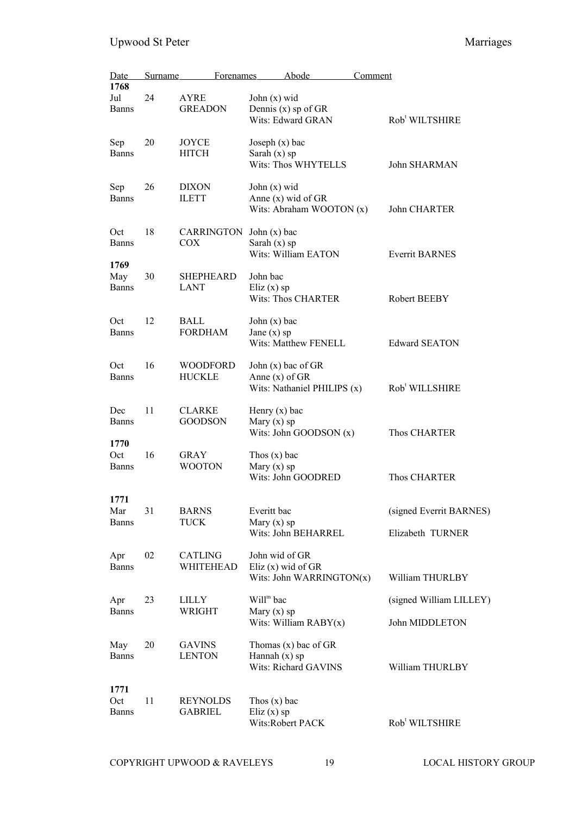| Date<br>1768                | Surname | <b>Forenames</b>                  | Abode                                                                   | Comment                                     |
|-----------------------------|---------|-----------------------------------|-------------------------------------------------------------------------|---------------------------------------------|
| Jul<br><b>Banns</b>         | 24      | <b>AYRE</b><br><b>GREADON</b>     | John $(x)$ wid<br>Dennis (x) sp of GR<br>Wits: Edward GRAN              | Rob <sup>t</sup> WILTSHIRE                  |
| Sep<br><b>Banns</b>         | 20      | JOYCE<br><b>HITCH</b>             | Joseph $(x)$ bac<br>Sarah $(x)$ sp<br><b>Wits: Thos WHYTELLS</b>        | John SHARMAN                                |
| Sep<br><b>Banns</b>         | 26      | <b>DIXON</b><br><b>ILETT</b>      | John $(x)$ wid<br>Anne $(x)$ wid of GR<br>Wits: Abraham WOOTON (x)      | John CHARTER                                |
| Oct<br><b>Banns</b>         | 18      | CARRINGTON<br><b>COX</b>          | John $(x)$ bac<br>Sarah $(x)$ sp<br>Wits: William EATON                 | <b>Everrit BARNES</b>                       |
| 1769<br>May<br><b>Banns</b> | 30      | SHEPHEARD<br><b>LANT</b>          | John bac<br>Eliz $(x)$ sp<br><b>Wits: Thos CHARTER</b>                  | Robert BEEBY                                |
| Oct<br><b>Banns</b>         | 12      | <b>BALL</b><br><b>FORDHAM</b>     | John $(x)$ bac<br>Jane $(x)$ sp<br>Wits: Matthew FENELL                 | <b>Edward SEATON</b>                        |
| Oct<br><b>Banns</b>         | 16      | <b>WOODFORD</b><br><b>HUCKLE</b>  | John $(x)$ bac of GR<br>Anne $(x)$ of GR<br>Wits: Nathaniel PHILIPS (x) | Rob <sup>t</sup> WILLSHIRE                  |
| Dec<br><b>Banns</b>         | 11      | <b>CLARKE</b><br><b>GOODSON</b>   | Henry $(x)$ bac<br>Mary $(x)$ sp<br>Wits: John GOODSON (x)              | Thos CHARTER                                |
| 1770<br>Oct<br><b>Banns</b> | 16      | <b>GRAY</b><br><b>WOOTON</b>      | Thos $(x)$ bac<br>Mary $(x)$ sp<br>Wits: John GOODRED                   | <b>Thos CHARTER</b>                         |
| 1771<br>Mar<br><b>Banns</b> | 31      | <b>BARNS</b><br><b>TUCK</b>       | Everitt bac<br>Mary $(x)$ sp<br>Wits: John BEHARREL                     | (signed Everrit BARNES)<br>Elizabeth TURNER |
| Apr<br><b>Banns</b>         | 02      | CATLING<br>WHITEHEAD              | John wid of GR<br>Eliz $(x)$ wid of GR<br>Wits: John WARRINGTON(x)      | William THURLBY                             |
| Apr<br><b>Banns</b>         | 23      | LILLY<br>WRIGHT                   | $Willm$ bac<br>Mary $(x)$ sp<br>Wits: William $RABY(x)$                 | (signed William LILLEY)<br>John MIDDLETON   |
| May<br><b>Banns</b>         | 20      | <b>GAVINS</b><br><b>LENTON</b>    | Thomas $(x)$ bac of GR<br>Hannah $(x)$ sp<br>Wits: Richard GAVINS       | William THURLBY                             |
| 1771<br>Oct<br><b>Banns</b> | 11      | <b>REYNOLDS</b><br><b>GABRIEL</b> | Thos $(x)$ bac<br>Eliz $(x)$ sp<br>Wits:Robert PACK                     | Rob <sup>t</sup> WILTSHIRE                  |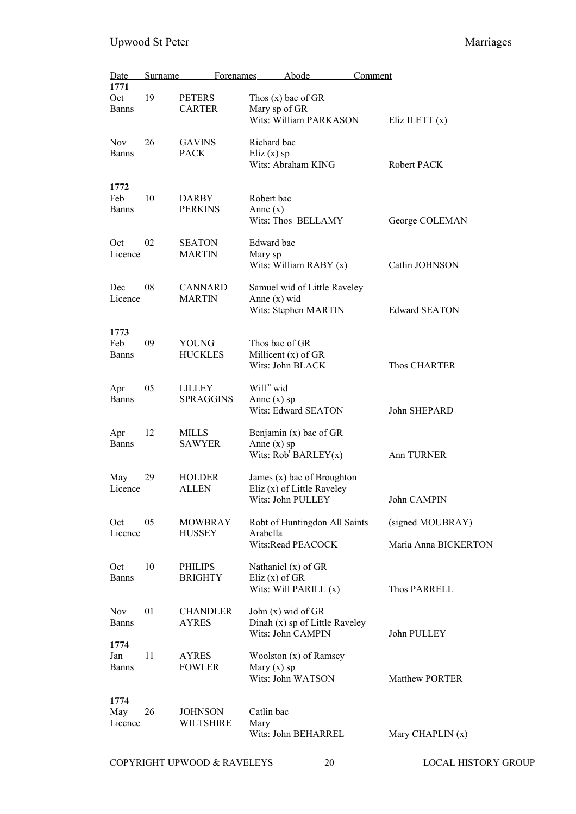| Date<br>1771                | Surname | <b>Forenames</b>                   | Abode                                                                         | Comment |                                          |
|-----------------------------|---------|------------------------------------|-------------------------------------------------------------------------------|---------|------------------------------------------|
| Oct<br><b>Banns</b>         | 19      | <b>PETERS</b><br><b>CARTER</b>     | Thos $(x)$ bac of GR<br>Mary sp of GR<br>Wits: William PARKASON               |         | Eliz ILETT $(x)$                         |
| <b>Nov</b><br><b>Banns</b>  | 26      | <b>GAVINS</b><br><b>PACK</b>       | Richard bac<br>Eliz $(x)$ sp<br>Wits: Abraham KING                            |         | Robert PACK                              |
| 1772<br>Feb<br>Banns        | 10      | <b>DARBY</b><br><b>PERKINS</b>     | Robert bac<br>Anne $(x)$<br>Wits: Thos BELLAMY                                |         | George COLEMAN                           |
| Oct<br>Licence              | 02      | <b>SEATON</b><br><b>MARTIN</b>     | Edward bac<br>Mary sp<br>Wits: William RABY (x)                               |         | Catlin JOHNSON                           |
| Dec<br>Licence              | 08      | <b>CANNARD</b><br><b>MARTIN</b>    | Samuel wid of Little Raveley<br>Anne $(x)$ wid<br>Wits: Stephen MARTIN        |         | <b>Edward SEATON</b>                     |
| 1773<br>Feb<br><b>Banns</b> | 09      | YOUNG<br><b>HUCKLES</b>            | Thos bac of GR<br>Millicent $(x)$ of GR<br>Wits: John BLACK                   |         | Thos CHARTER                             |
| Apr<br><b>Banns</b>         | 05      | <b>LILLEY</b><br><b>SPRAGGINS</b>  | Will <sup>m</sup> wid<br>Anne $(x)$ sp<br>Wits: Edward SEATON                 |         | John SHEPARD                             |
| Apr<br><b>Banns</b>         | 12      | <b>MILLS</b><br><b>SAWYER</b>      | Benjamin $(x)$ bac of GR<br>Anne $(x)$ sp<br>Wits: $Robt BARLEY(x)$           |         | Ann TURNER                               |
| May<br>Licence              | 29      | <b>HOLDER</b><br>ALLEN             | James (x) bac of Broughton<br>Eliz (x) of Little Raveley<br>Wits: John PULLEY |         | John CAMPIN                              |
| Oct<br>Licence              | 05      | <b>MOWBRAY</b><br><b>HUSSEY</b>    | Robt of Huntingdon All Saints<br>Arabella<br>Wits:Read PEACOCK                |         | (signed MOUBRAY)<br>Maria Anna BICKERTON |
| Oct<br><b>Banns</b>         | 10      | PHILIPS<br><b>BRIGHTY</b>          | Nathaniel $(x)$ of GR<br>Eliz $(x)$ of GR<br>Wits: Will PARILL (x)            |         | Thos PARRELL                             |
| <b>Nov</b><br><b>Banns</b>  | 01      | <b>CHANDLER</b><br><b>AYRES</b>    | John $(x)$ wid of GR<br>Dinah (x) sp of Little Raveley<br>Wits: John CAMPIN   |         | John PULLEY                              |
| 1774<br>Jan<br><b>Banns</b> | 11      | <b>AYRES</b><br><b>FOWLER</b>      | Woolston (x) of Ramsey<br>Mary $(x)$ sp<br>Wits: John WATSON                  |         | Matthew PORTER                           |
| 1774<br>May<br>Licence      | 26      | <b>JOHNSON</b><br><b>WILTSHIRE</b> | Catlin bac<br>Mary<br>Wits: John BEHARREL                                     |         | Mary CHAPLIN (x)                         |

COPYRIGHT UPWOOD & RAVELEYS 20 LOCAL HISTORY GROUP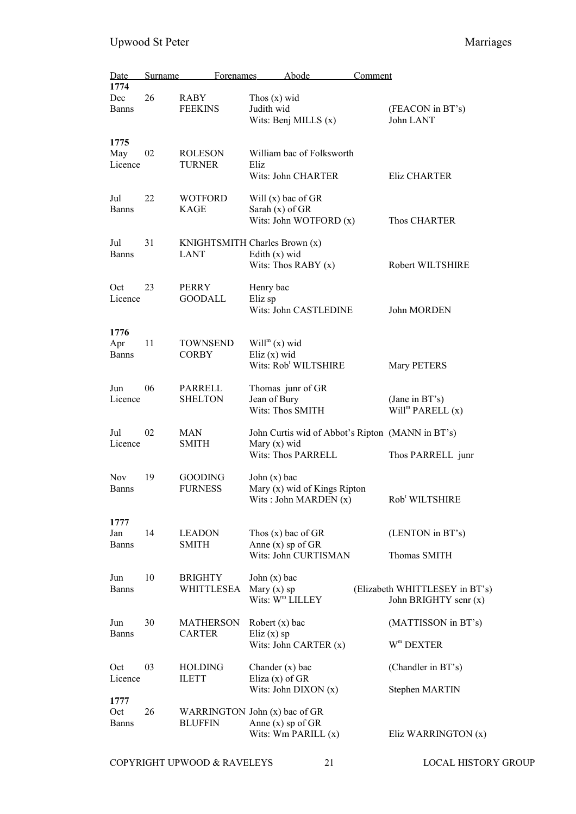| Date<br>1774                | Surname | Forenames                                       |                                        | Abode                                                               | Comment |                                                                       |
|-----------------------------|---------|-------------------------------------------------|----------------------------------------|---------------------------------------------------------------------|---------|-----------------------------------------------------------------------|
| Dec<br><b>Banns</b>         | 26      | <b>RABY</b><br><b>FEEKINS</b>                   | Thos $(x)$ wid<br>Judith wid           | Wits: Benj MILLS $(x)$                                              |         | (FEACON in BT's)<br>John LANT                                         |
| 1775<br>May<br>Licence      | 02      | <b>ROLESON</b><br><b>TURNER</b>                 | Eliz                                   | William bac of Folksworth<br>Wits: John CHARTER                     |         | Eliz CHARTER                                                          |
| Jul<br>Banns                | 22      | <b>WOTFORD</b><br>KAGE                          | Sarah $(x)$ of GR                      | Will (x) bac of GR<br>Wits: John WOTFORD $(x)$                      |         | Thos CHARTER                                                          |
| Jul<br><b>Banns</b>         | 31      | KNIGHTSMITH Charles Brown (x)<br><b>LANT</b>    | Edith $(x)$ wid                        | Wits: Thos RABY $(x)$                                               |         | Robert WILTSHIRE                                                      |
| Oct<br>Licence              | 23      | <b>PERRY</b><br><b>GOODALL</b>                  | Henry bac<br>Eliz sp                   | Wits: John CASTLEDINE                                               |         | John MORDEN                                                           |
| 1776<br>Apr<br><b>Banns</b> | 11      | <b>TOWNSEND</b><br><b>CORBY</b>                 | $Willm(x)$ wid<br>Eliz $(x)$ wid       | Wits: Rob <sup>t</sup> WILTSHIRE                                    |         | Mary PETERS                                                           |
| Jun<br>Licence              | 06      | PARRELL<br><b>SHELTON</b>                       | Jean of Bury                           | Thomas junr of GR<br>Wits: Thos SMITH                               |         | (Jane in BT's)<br>Will <sup>m</sup> PARELL $(x)$                      |
| Jul<br>Licence              | 02      | MAN<br><b>SMITH</b>                             | Mary $(x)$ wid                         | Wits: Thos PARRELL                                                  |         | John Curtis wid of Abbot's Ripton (MANN in BT's)<br>Thos PARRELL junr |
| <b>Nov</b><br><b>Banns</b>  | 19      | <b>GOODING</b><br><b>FURNESS</b>                | John $(x)$ bac                         | Mary (x) wid of Kings Ripton<br>Wits: John MARDEN $(x)$             |         | Rob <sup>t</sup> WILTSHIRE                                            |
| 1777<br>Jan<br><b>Banns</b> | 14      | <b>LEADON</b><br><b>SMITH</b>                   |                                        | Thos $(x)$ bac of GR<br>Anne $(x)$ sp of GR<br>Wits: John CURTISMAN |         | (LENTON in BT's)<br>Thomas SMITH                                      |
| Jun<br><b>Banns</b>         | 10      | <b>BRIGHTY</b><br>WHITTLESEA                    | John $(x)$ bac<br>Mary $(x)$ sp        | Wits: W <sup>m</sup> LILLEY                                         |         | (Elizabeth WHITTLESEY in BT's)<br>John BRIGHTY senr (x)               |
| Jun<br><b>Banns</b>         | 30      | <b>MATHERSON</b><br><b>CARTER</b>               | Robert $(x)$ bac                       |                                                                     |         | (MATTISSON in BT's)                                                   |
|                             |         |                                                 | Eliz $(x)$ sp                          | Wits: John CARTER $(x)$                                             |         | $W^m$ DEXTER                                                          |
| Oct<br>Licence              | 03      | <b>HOLDING</b><br><b>ILETT</b>                  | Chander $(x)$ bac<br>Eliza $(x)$ of GR |                                                                     |         | (Chandler in BT's)                                                    |
| 1777                        |         |                                                 |                                        | Wits: John DIXON $(x)$                                              |         | Stephen MARTIN                                                        |
| Oct<br><b>Banns</b>         | 26      | WARRINGTON John (x) bac of GR<br><b>BLUFFIN</b> |                                        | Anne $(x)$ sp of GR<br>Wits: Wm PARILL (x)                          |         | Eliz WARRINGTON (x)                                                   |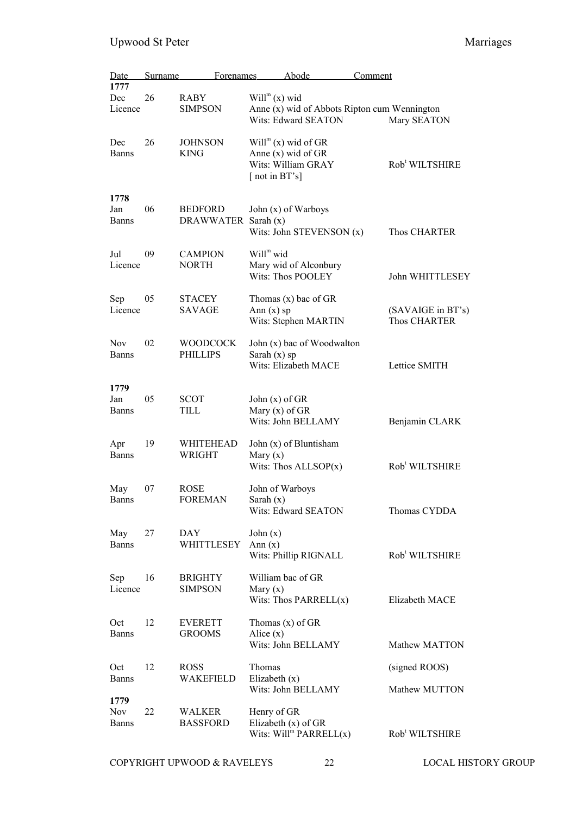| <u>Date</u>         | <b>Surname</b> | Forenames                       |                                      | Abode                                        | <u>Comment</u> |                                   |
|---------------------|----------------|---------------------------------|--------------------------------------|----------------------------------------------|----------------|-----------------------------------|
| 1777                |                |                                 |                                      |                                              |                |                                   |
| Dec<br>Licence      | 26             | RABY<br><b>SIMPSON</b>          | $Willm(x)$ wid                       | Anne (x) wid of Abbots Ripton cum Wennington |                |                                   |
|                     |                |                                 |                                      | Wits: Edward SEATON                          |                | Mary SEATON                       |
| Dec                 | 26             | <b>JOHNSON</b>                  |                                      | $Willm$ (x) wid of GR                        |                |                                   |
| Banns               |                | <b>KING</b>                     |                                      | Anne $(x)$ wid of GR                         |                |                                   |
|                     |                |                                 | [not in BT's]                        | Wits: William GRAY                           |                | Rob <sup>t</sup> WILTSHIRE        |
| 1778                |                |                                 |                                      |                                              |                |                                   |
| Jan                 | 06             | <b>BEDFORD</b>                  |                                      | John (x) of Warboys                          |                |                                   |
| <b>Banns</b>        |                | DRAWWATER                       | Sarah $(x)$                          |                                              |                |                                   |
|                     |                |                                 |                                      | Wits: John STEVENSON (x)                     |                | Thos CHARTER                      |
| Jul                 | 09             | <b>CAMPION</b>                  | Will <sup>m</sup> wid                |                                              |                |                                   |
| Licence             |                | <b>NORTH</b>                    |                                      | Mary wid of Alconbury                        |                |                                   |
|                     |                |                                 |                                      | Wits: Thos POOLEY                            |                | John WHITTLESEY                   |
| Sep                 | 05             | <b>STACEY</b>                   |                                      | Thomas $(x)$ bac of GR                       |                |                                   |
| Licence             |                | <b>SAVAGE</b>                   | Ann $(x)$ sp                         | Wits: Stephen MARTIN                         |                | (SAVAIGE in BT's)<br>Thos CHARTER |
|                     |                |                                 |                                      |                                              |                |                                   |
| <b>Nov</b>          | 02             | <b>WOODCOCK</b>                 |                                      | John (x) bac of Woodwalton                   |                |                                   |
| <b>Banns</b>        |                | <b>PHILLIPS</b>                 | Sarah $(x)$ sp                       | Wits: Elizabeth MACE                         |                | Lettice SMITH                     |
|                     |                |                                 |                                      |                                              |                |                                   |
| 1779                |                |                                 |                                      |                                              |                |                                   |
| Jan<br><b>Banns</b> | 05             | <b>SCOT</b><br>TILL             | John $(x)$ of GR<br>Mary $(x)$ of GR |                                              |                |                                   |
|                     |                |                                 |                                      | Wits: John BELLAMY                           |                | Benjamin CLARK                    |
| Apr                 | 19             | WHITEHEAD                       |                                      | John (x) of Bluntisham                       |                |                                   |
| <b>Banns</b>        |                | WRIGHT                          | Mary $(x)$                           |                                              |                |                                   |
|                     |                |                                 |                                      | Wits: Thos $ALLSOP(x)$                       |                | Rob <sup>t</sup> WILTSHIRE        |
| May                 | 07             | <b>ROSE</b>                     | John of Warboys                      |                                              |                |                                   |
| Banns               |                | <b>FOREMAN</b>                  | Sarah $(x)$                          |                                              |                |                                   |
|                     |                |                                 |                                      | Wits: Edward SEATON                          |                | Thomas CYDDA                      |
| May                 | 27             | DAY                             | John $(x)$                           |                                              |                |                                   |
| <b>Banns</b>        |                | WHITTLESEY                      | Ann $(x)$                            |                                              |                |                                   |
|                     |                |                                 |                                      | Wits: Phillip RIGNALL                        |                | Rob <sup>t</sup> WILTSHIRE        |
| Sep                 | 16             | <b>BRIGHTY</b>                  |                                      | William bac of GR                            |                |                                   |
| Licence             |                | <b>SIMPSON</b>                  | Mary $(x)$                           | Wits: Thos PARRELL $(x)$                     |                | Elizabeth MACE                    |
|                     |                |                                 |                                      |                                              |                |                                   |
| Oct<br><b>Banns</b> | 12             | <b>EVERETT</b><br><b>GROOMS</b> | Alice $(x)$                          | Thomas $(x)$ of GR                           |                |                                   |
|                     |                |                                 |                                      | Wits: John BELLAMY                           |                | Mathew MATTON                     |
| Oct                 | 12             | <b>ROSS</b>                     | Thomas                               |                                              |                | (signed ROOS)                     |
| <b>Banns</b>        |                | WAKEFIELD                       | Elizabeth $(x)$                      |                                              |                |                                   |
| 1779                |                |                                 |                                      | Wits: John BELLAMY                           |                | Mathew MUTTON                     |
| <b>Nov</b>          | 22             | WALKER                          | Henry of GR                          |                                              |                |                                   |
| <b>Banns</b>        |                | <b>BASSFORD</b>                 |                                      | Elizabeth $(x)$ of GR                        |                |                                   |
|                     |                |                                 |                                      | Wits: $Willm PARRELL(x)$                     |                | Rob <sup>t</sup> WILTSHIRE        |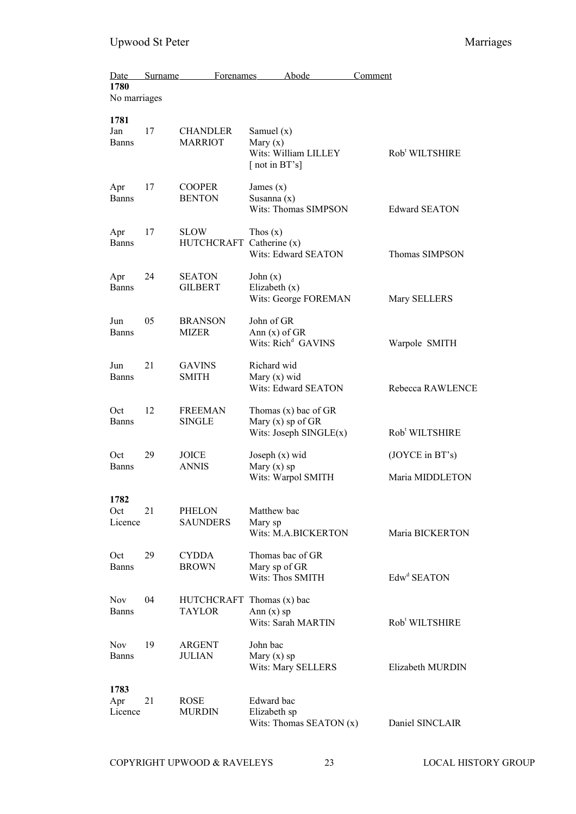| Date<br>1780<br>No marriages | Surname | <b>Forenames</b>                        | Abode                                                                       | Comment                            |
|------------------------------|---------|-----------------------------------------|-----------------------------------------------------------------------------|------------------------------------|
|                              |         |                                         |                                                                             |                                    |
| 1781<br>Jan<br>Banns         | 17      | <b>CHANDLER</b><br><b>MARRIOT</b>       | Samuel $(x)$<br>Mary $(x)$<br>Wits: William LILLEY<br>$\lceil$ not in BT's] | Rob <sup>t</sup> WILTSHIRE         |
| Apr<br><b>Banns</b>          | 17      | <b>COOPER</b><br><b>BENTON</b>          | James $(x)$<br>Susanna (x)<br>Wits: Thomas SIMPSON                          | <b>Edward SEATON</b>               |
| Apr<br>Banns                 | 17      | <b>SLOW</b><br>HUTCHCRAFT Catherine (x) | Thos $(x)$<br>Wits: Edward SEATON                                           | Thomas SIMPSON                     |
| Apr<br><b>Banns</b>          | 24      | <b>SEATON</b><br><b>GILBERT</b>         | John $(x)$<br>Elizabeth $(x)$<br>Wits: George FOREMAN                       | Mary SELLERS                       |
| Jun<br><b>Banns</b>          | 05      | <b>BRANSON</b><br>MIZER                 | John of GR<br>Ann $(x)$ of GR<br>Wits: Rich <sup>d</sup> GAVINS             | Warpole SMITH                      |
| Jun<br>Banns                 | 21      | <b>GAVINS</b><br><b>SMITH</b>           | Richard wid<br>Mary $(x)$ wid<br>Wits: Edward SEATON                        | Rebecca RAWLENCE                   |
| Oct<br>Banns                 | 12      | <b>FREEMAN</b><br><b>SINGLE</b>         | Thomas $(x)$ bac of GR<br>Mary $(x)$ sp of GR<br>Wits: Joseph $SINGLE(x)$   | Rob <sup>t</sup> WILTSHIRE         |
| Oct<br><b>Banns</b>          | 29      | JOICE<br>ANNIS                          | Joseph $(x)$ wid<br>Mary $(x)$ sp<br>Wits: Warpol SMITH                     | (JOYCE in BT's)<br>Maria MIDDLETON |
| 1782<br>Oct<br>Licence       | 21      | <b>PHELON</b><br><b>SAUNDERS</b>        | Matthew bac<br>Mary sp<br>Wits: M.A.BICKERTON                               | Maria BICKERTON                    |
| Oct<br><b>Banns</b>          | 29      | <b>CYDDA</b><br><b>BROWN</b>            | Thomas bac of GR<br>Mary sp of GR<br>Wits: Thos SMITH                       | Edw <sup>d</sup> SEATON            |
| <b>Nov</b><br><b>Banns</b>   | 04      | HUTCHCRAFT Thomas (x) bac<br>TAYLOR     | Ann $(x)$ sp<br>Wits: Sarah MARTIN                                          | Rob <sup>t</sup> WILTSHIRE         |
| <b>Nov</b><br><b>Banns</b>   | 19      | <b>ARGENT</b><br>JULIAN                 | John bac<br>Mary $(x)$ sp<br>Wits: Mary SELLERS                             | Elizabeth MURDIN                   |
| 1783<br>Apr<br>Licence       | 21      | ROSE<br><b>MURDIN</b>                   | Edward bac<br>Elizabeth sp<br>Wits: Thomas SEATON $(x)$                     | Daniel SINCLAIR                    |

COPYRIGHT UPWOOD & RAVELEYS 23 LOCAL HISTORY GROUP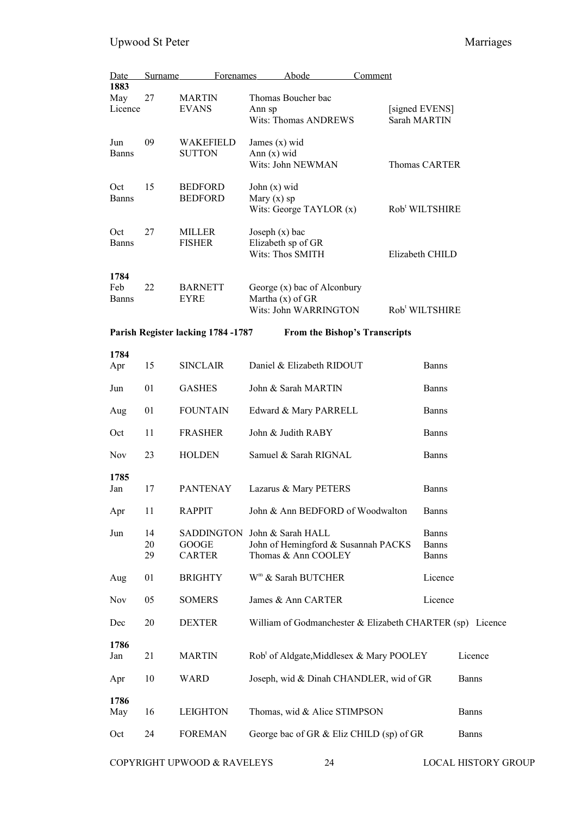| Date         | Surname | <b>Forenames</b>                   |                    | Abode                                                     | Comment |                                |              |
|--------------|---------|------------------------------------|--------------------|-----------------------------------------------------------|---------|--------------------------------|--------------|
| 1883         |         |                                    |                    |                                                           |         |                                |              |
| May          | 27      | <b>MARTIN</b>                      |                    | Thomas Boucher bac                                        |         |                                |              |
| Licence      |         | <b>EVANS</b>                       | Ann sp             | <b>Wits: Thomas ANDREWS</b>                               |         | [signed EVENS]<br>Sarah MARTIN |              |
| Jun          | 09      | WAKEFIELD                          | James $(x)$ wid    |                                                           |         |                                |              |
| Banns        |         | <b>SUTTON</b>                      | Ann $(x)$ wid      |                                                           |         |                                |              |
|              |         |                                    |                    | Wits: John NEWMAN                                         |         | <b>Thomas CARTER</b>           |              |
| Oct          | 15      | <b>BEDFORD</b>                     | John $(x)$ wid     |                                                           |         |                                |              |
| Banns        |         | <b>BEDFORD</b>                     | Mary $(x)$ sp      | Wits: George TAYLOR $(x)$                                 |         | Rob <sup>t</sup> WILTSHIRE     |              |
| Oct          | 27      | MILLER                             | Joseph $(x)$ bac   |                                                           |         |                                |              |
| <b>Banns</b> |         | <b>FISHER</b>                      |                    | Elizabeth sp of GR                                        |         |                                |              |
|              |         |                                    |                    | Wits: Thos SMITH                                          |         | Elizabeth CHILD                |              |
|              |         |                                    |                    |                                                           |         |                                |              |
| 1784<br>Feb  | 22      | <b>BARNETT</b>                     |                    | George (x) bac of Alconbury                               |         |                                |              |
| <b>Banns</b> |         | <b>EYRE</b>                        | Martha $(x)$ of GR |                                                           |         |                                |              |
|              |         |                                    |                    | Wits: John WARRINGTON                                     |         | Rob <sup>t</sup> WILTSHIRE     |              |
|              |         | Parish Register lacking 1784 -1787 |                    | <b>From the Bishop's Transcripts</b>                      |         |                                |              |
| 1784         |         |                                    |                    |                                                           |         |                                |              |
| Apr          | 15      | <b>SINCLAIR</b>                    |                    | Daniel & Elizabeth RIDOUT                                 |         | <b>Banns</b>                   |              |
| Jun          | 01      | <b>GASHES</b>                      |                    | John & Sarah MARTIN                                       |         | <b>Banns</b>                   |              |
| Aug          | 01      | <b>FOUNTAIN</b>                    |                    | Edward & Mary PARRELL                                     |         | <b>Banns</b>                   |              |
| Oct          | 11      | <b>FRASHER</b>                     |                    | John & Judith RABY                                        |         | <b>Banns</b>                   |              |
| <b>Nov</b>   | 23      | <b>HOLDEN</b>                      |                    | Samuel & Sarah RIGNAL                                     |         | <b>Banns</b>                   |              |
| 1785         |         |                                    |                    |                                                           |         |                                |              |
| Jan          | 17      | <b>PANTENAY</b>                    |                    | Lazarus & Mary PETERS                                     |         | <b>Banns</b>                   |              |
| Apr          | 11      | <b>RAPPIT</b>                      |                    | John & Ann BEDFORD of Woodwalton                          |         | <b>Banns</b>                   |              |
| Jun          | 14      | <b>SADDINGTON</b>                  |                    | John & Sarah HALL                                         |         | <b>Banns</b>                   |              |
|              | 20      | <b>GOOGE</b>                       |                    | John of Hemingford & Susannah PACKS                       |         | <b>Banns</b>                   |              |
|              | 29      | <b>CARTER</b>                      |                    | Thomas & Ann COOLEY                                       |         | <b>Banns</b>                   |              |
| Aug          | 01      | <b>BRIGHTY</b>                     |                    | W <sup>m</sup> & Sarah BUTCHER                            |         | Licence                        |              |
| Nov          | 05      | <b>SOMERS</b>                      |                    | James & Ann CARTER                                        |         | Licence                        |              |
| Dec          | 20      | <b>DEXTER</b>                      |                    | William of Godmanchester & Elizabeth CHARTER (sp) Licence |         |                                |              |
| 1786         |         |                                    |                    |                                                           |         |                                |              |
| Jan          | 21      | <b>MARTIN</b>                      |                    | Rob <sup>t</sup> of Aldgate, Middlesex & Mary POOLEY      |         |                                | Licence      |
| Apr          | 10      | <b>WARD</b>                        |                    | Joseph, wid & Dinah CHANDLER, wid of GR                   |         |                                | <b>Banns</b> |
| 1786         |         |                                    |                    |                                                           |         |                                |              |
| May          | 16      | <b>LEIGHTON</b>                    |                    | Thomas, wid & Alice STIMPSON                              |         |                                | <b>Banns</b> |
| Oct          | 24      | <b>FOREMAN</b>                     |                    | George bac of GR & Eliz CHILD (sp) of GR                  |         |                                | <b>Banns</b> |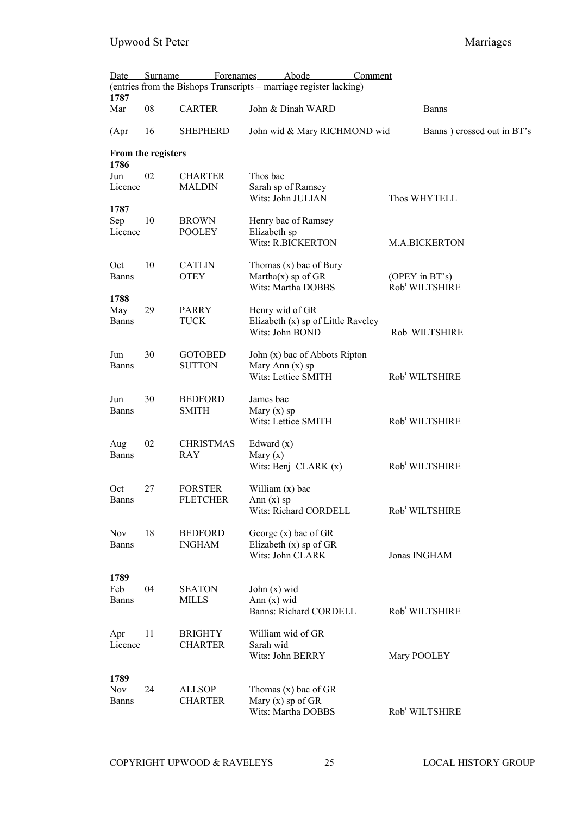| Date                               | Surname            | <b>Forenames</b>                  | Abode<br>Comment                                                          |                                              |
|------------------------------------|--------------------|-----------------------------------|---------------------------------------------------------------------------|----------------------------------------------|
| 1787                               |                    |                                   | (entries from the Bishops Transcripts - marriage register lacking)        |                                              |
| Mar                                | 08                 | <b>CARTER</b>                     | John & Dinah WARD                                                         | <b>Banns</b>                                 |
| (Apr)                              | 16                 | <b>SHEPHERD</b>                   | John wid & Mary RICHMOND wid                                              | Banns) crossed out in BT's                   |
| 1786                               | From the registers |                                   |                                                                           |                                              |
| Jun<br>Licence                     | 02                 | <b>CHARTER</b><br><b>MALDIN</b>   | Thos bac<br>Sarah sp of Ramsey<br>Wits: John JULIAN                       | Thos WHYTELL                                 |
| 1787<br>Sep<br>Licence             | 10                 | <b>BROWN</b><br><b>POOLEY</b>     | Henry bac of Ramsey<br>Elizabeth sp<br><b>Wits: R.BICKERTON</b>           | <b>M.A.BICKERTON</b>                         |
| Oct<br><b>Banns</b><br>1788        | 10                 | <b>CATLIN</b><br><b>OTEY</b>      | Thomas $(x)$ bac of Bury<br>Martha $(x)$ sp of GR<br>Wits: Martha DOBBS   | (OPEY in BT's)<br>Rob <sup>t</sup> WILTSHIRE |
| May<br><b>Banns</b>                | 29                 | <b>PARRY</b><br>TUCK              | Henry wid of GR<br>Elizabeth (x) sp of Little Raveley<br>Wits: John BOND  | Rob <sup>t</sup> WILTSHIRE                   |
| Jun<br><b>Banns</b>                | 30                 | <b>GOTOBED</b><br><b>SUTTON</b>   | John (x) bac of Abbots Ripton<br>Mary Ann $(x)$ sp<br>Wits: Lettice SMITH | Rob <sup>t</sup> WILTSHIRE                   |
| Jun<br><b>Banns</b>                | 30                 | <b>BEDFORD</b><br><b>SMITH</b>    | James bac<br>Mary $(x)$ sp<br>Wits: Lettice SMITH                         | Rob <sup>t</sup> WILTSHIRE                   |
| Aug<br><b>Banns</b>                | 02                 | <b>CHRISTMAS</b><br><b>RAY</b>    | Edward $(x)$<br>Mary $(x)$<br>Wits: Benj CLARK $(x)$                      | Rob <sup>t</sup> WILTSHIRE                   |
| Oct<br><b>Banns</b>                | 27                 | <b>FORSTER</b><br><b>FLETCHER</b> | William $(x)$ bac<br>Ann $(x)$ sp<br>Wits: Richard CORDELL                | Rob <sup>t</sup> WILTSHIRE                   |
| <b>Nov</b><br><b>Banns</b>         | 18                 | <b>BEDFORD</b><br><b>INGHAM</b>   | George $(x)$ bac of GR<br>Elizabeth (x) sp of GR<br>Wits: John CLARK      | Jonas INGHAM                                 |
| 1789<br>Feb<br><b>Banns</b>        | 04                 | <b>SEATON</b><br><b>MILLS</b>     | John $(x)$ wid<br>Ann $(x)$ wid<br><b>Banns: Richard CORDELL</b>          | Rob <sup>t</sup> WILTSHIRE                   |
| Apr<br>Licence                     | 11                 | <b>BRIGHTY</b><br><b>CHARTER</b>  | William wid of GR<br>Sarah wid<br>Wits: John BERRY                        | Mary POOLEY                                  |
| 1789<br><b>Nov</b><br><b>Banns</b> | 24                 | <b>ALLSOP</b><br><b>CHARTER</b>   | Thomas $(x)$ bac of GR<br>Mary $(x)$ sp of GR<br>Wits: Martha DOBBS       | Rob <sup>t</sup> WILTSHIRE                   |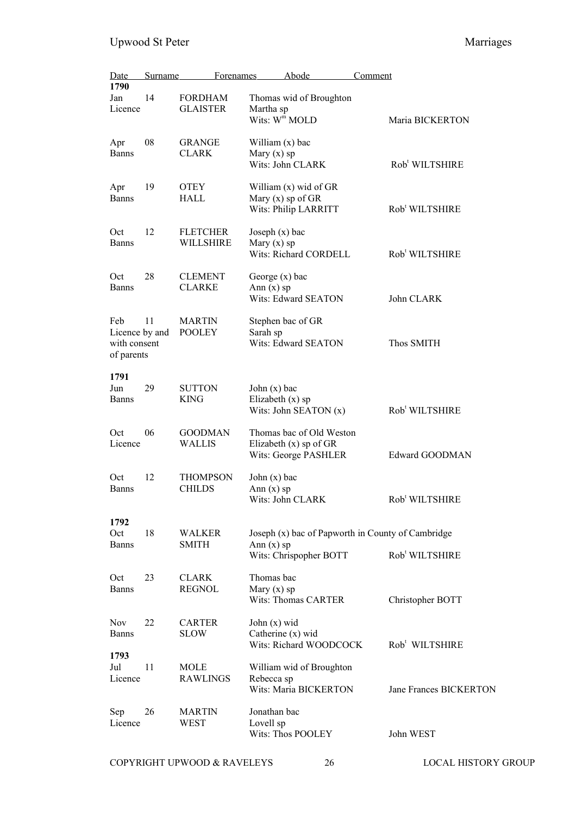| <b>Date</b>                                         | Surname | Forenames                         | Abode                                                                        | Comment                                           |                               |
|-----------------------------------------------------|---------|-----------------------------------|------------------------------------------------------------------------------|---------------------------------------------------|-------------------------------|
| 1790<br>Jan<br>Licence                              | 14      | <b>FORDHAM</b><br><b>GLAISTER</b> | Thomas wid of Broughton<br>Martha sp<br>Wits: W <sup>m</sup> MOLD            |                                                   | Maria BICKERTON               |
| Apr<br><b>Banns</b>                                 | 08      | <b>GRANGE</b><br><b>CLARK</b>     | William (x) bac<br>Mary $(x)$ sp<br>Wits: John CLARK                         |                                                   | Rob <sup>t</sup> WILTSHIRE    |
| Apr<br><b>Banns</b>                                 | 19      | <b>OTEY</b><br>HALL               | William $(x)$ wid of GR<br>Mary $(x)$ sp of GR<br>Wits: Philip LARRITT       |                                                   | Rob <sup>t</sup> WILTSHIRE    |
| Oct<br><b>Banns</b>                                 | 12      | <b>FLETCHER</b><br>WILLSHIRE      | Joseph $(x)$ bac<br>Mary $(x)$ sp<br>Wits: Richard CORDELL                   |                                                   | Rob <sup>t</sup> WILTSHIRE    |
| Oct<br><b>Banns</b>                                 | 28      | <b>CLEMENT</b><br><b>CLARKE</b>   | George $(x)$ bac<br>Ann $(x)$ sp<br>Wits: Edward SEATON                      |                                                   | John CLARK                    |
| Feb<br>Licence by and<br>with consent<br>of parents | 11      | <b>MARTIN</b><br><b>POOLEY</b>    | Stephen bac of GR<br>Sarah sp<br>Wits: Edward SEATON                         |                                                   | Thos SMITH                    |
| 1791<br>Jun<br><b>Banns</b>                         | 29      | <b>SUTTON</b><br><b>KING</b>      | John $(x)$ bac<br>Elizabeth $(x)$ sp<br>Wits: John SEATON $(x)$              |                                                   | Rob <sup>t</sup> WILTSHIRE    |
| Oct<br>Licence                                      | 06      | <b>GOODMAN</b><br><b>WALLIS</b>   | Thomas bac of Old Weston<br>Elizabeth $(x)$ sp of GR<br>Wits: George PASHLER |                                                   | Edward GOODMAN                |
| Oct<br><b>Banns</b>                                 | 12      | <b>THOMPSON</b><br><b>CHILDS</b>  | John $(x)$ bac<br>Ann $(x)$ sp<br>Wits: John CLARK                           |                                                   | Rob <sup>t</sup> WILTSHIRE    |
| 1792<br>Oct<br><b>Banns</b>                         | 18      | <b>WALKER</b><br><b>SMITH</b>     | Ann $(x)$ sp<br>Wits: Chrispopher BOTT                                       | Joseph (x) bac of Papworth in County of Cambridge | Rob <sup>t</sup> WILTSHIRE    |
| Oct<br><b>Banns</b>                                 | 23      | <b>CLARK</b><br><b>REGNOL</b>     | Thomas bac<br>Mary $(x)$ sp<br>Wits: Thomas CARTER                           |                                                   | Christopher BOTT              |
| <b>Nov</b><br><b>Banns</b>                          | 22      | <b>CARTER</b><br><b>SLOW</b>      | John $(x)$ wid<br>Catherine $(x)$ wid<br>Wits: Richard WOODCOCK              |                                                   | Rob <sup>t</sup> WILTSHIRE    |
| 1793<br>Jul<br>Licence                              | 11      | MOLE<br><b>RAWLINGS</b>           | William wid of Broughton<br>Rebecca sp<br>Wits: Maria BICKERTON              |                                                   | <b>Jane Frances BICKERTON</b> |
| Sep<br>Licence                                      | 26      | <b>MARTIN</b><br>WEST             | Jonathan bac<br>Lovell sp<br>Wits: Thos POOLEY                               |                                                   | John WEST                     |

COPYRIGHT UPWOOD & RAVELEYS 26 LOCAL HISTORY GROUP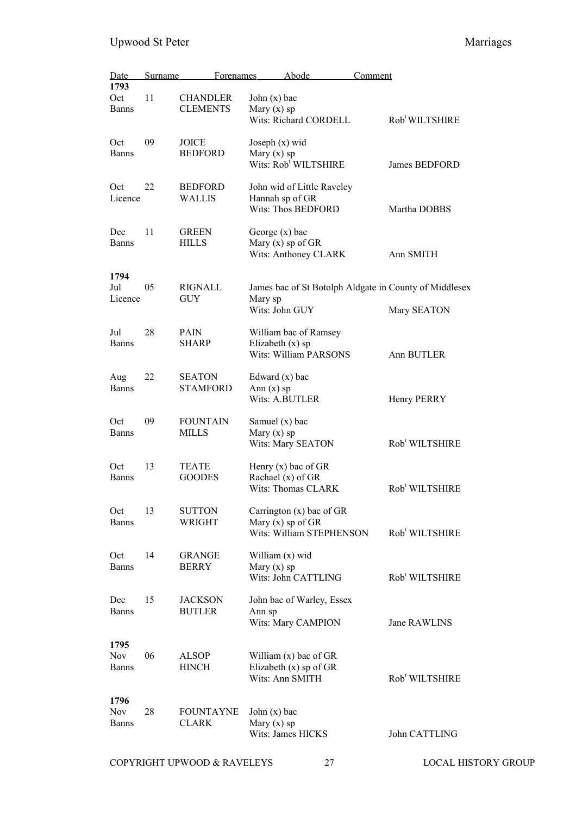| <b>Date</b><br>1793                | Surname | <b>Forenames</b>                   |                                   | Abode                                                                         | Comment |                                                                       |
|------------------------------------|---------|------------------------------------|-----------------------------------|-------------------------------------------------------------------------------|---------|-----------------------------------------------------------------------|
| Oct<br><b>Banns</b>                | 11      | <b>CHANDLER</b><br><b>CLEMENTS</b> | John $(x)$ bac<br>Mary $(x)$ sp   | Wits: Richard CORDELL                                                         |         | Rob <sup>t</sup> WILTSHIRE                                            |
| Oct<br><b>Banns</b>                | 09      | JOICE<br><b>BEDFORD</b>            | Joseph $(x)$ wid<br>Mary $(x)$ sp | Wits: Rob <sup>t</sup> WILTSHIRE                                              |         | <b>James BEDFORD</b>                                                  |
| Oct<br>Licence                     | 22      | <b>BEDFORD</b><br><b>WALLIS</b>    | Hannah sp of GR                   | John wid of Little Raveley<br><b>Wits: Thos BEDFORD</b>                       |         | Martha DOBBS                                                          |
| Dec<br><b>Banns</b>                | 11      | <b>GREEN</b><br><b>HILLS</b>       | George $(x)$ bac                  | Mary $(x)$ sp of GR<br>Wits: Anthoney CLARK                                   |         | Ann SMITH                                                             |
| 1794<br>Jul<br>Licence             | 05      | <b>RIGNALL</b><br>GUY              | Mary sp<br>Wits: John GUY         |                                                                               |         | James bac of St Botolph Aldgate in County of Middlesex<br>Mary SEATON |
| Jul<br><b>Banns</b>                | 28      | PAIN<br><b>SHARP</b>               | Elizabeth $(x)$ sp                | William bac of Ramsey<br><b>Wits: William PARSONS</b>                         |         | Ann BUTLER                                                            |
| Aug<br><b>Banns</b>                | 22      | <b>SEATON</b><br><b>STAMFORD</b>   | Edward $(x)$ bac<br>Ann $(x)$ sp  | Wits: A.BUTLER                                                                |         | Henry PERRY                                                           |
| Oct<br><b>Banns</b>                | 09      | <b>FOUNTAIN</b><br>MILLS           | Samuel $(x)$ bac<br>Mary $(x)$ sp | Wits: Mary SEATON                                                             |         | Rob <sup>t</sup> WILTSHIRE                                            |
| Oct<br><b>Banns</b>                | 13      | <b>TEATE</b><br><b>GOODES</b>      |                                   | Henry $(x)$ bac of GR<br>Rachael (x) of GR<br>Wits: Thomas CLARK              |         | Rob <sup>t</sup> WILTSHIRE                                            |
| Oct<br><b>Banns</b>                | 13      | <b>SUTTON</b><br>WRIGHT            |                                   | Carrington $(x)$ bac of GR<br>Mary $(x)$ sp of GR<br>Wits: William STEPHENSON |         | Rob <sup>t</sup> WILTSHIRE                                            |
| Oct<br><b>Banns</b>                | 14      | <b>GRANGE</b><br><b>BERRY</b>      | William (x) wid<br>Mary $(x)$ sp  | Wits: John CATTLING                                                           |         | Rob <sup>t</sup> WILTSHIRE                                            |
| Dec<br><b>Banns</b>                | 15      | <b>JACKSON</b><br><b>BUTLER</b>    | Ann sp                            | John bac of Warley, Essex<br>Wits: Mary CAMPION                               |         | Jane RAWLINS                                                          |
| 1795<br><b>Nov</b><br><b>Banns</b> | 06      | <b>ALSOP</b><br><b>HINCH</b>       |                                   | William $(x)$ bac of GR<br>Elizabeth $(x)$ sp of GR<br>Wits: Ann SMITH        |         | Rob <sup>t</sup> WILTSHIRE                                            |
| 1796<br><b>Nov</b><br><b>Banns</b> | 28      | <b>FOUNTAYNE</b><br><b>CLARK</b>   | John $(x)$ bac<br>Mary $(x)$ sp   | Wits: James HICKS                                                             |         | John CATTLING                                                         |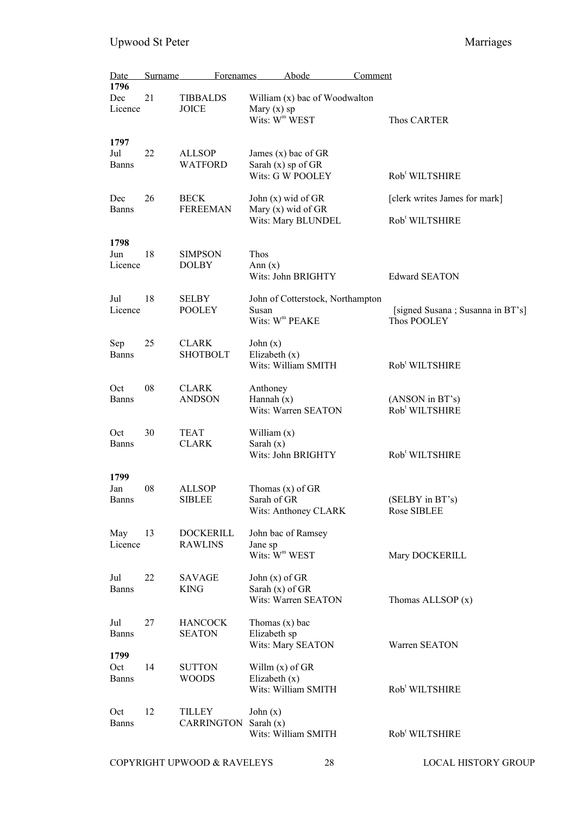| Date                        | Surname | Forenames                          |                                            | Abode                                                              | Comment                                                     |
|-----------------------------|---------|------------------------------------|--------------------------------------------|--------------------------------------------------------------------|-------------------------------------------------------------|
| 1796<br>Dec<br>Licence      | 21      | <b>TIBBALDS</b><br>JOICE           | Mary $(x)$ sp<br>Wits: W <sup>m</sup> WEST | William (x) bac of Woodwalton                                      | Thos CARTER                                                 |
| 1797<br>Jul<br><b>Banns</b> | 22      | <b>ALLSOP</b><br><b>WATFORD</b>    |                                            | James $(x)$ bac of GR<br>Sarah $(x)$ sp of GR<br>Wits: G W POOLEY  | Rob <sup>t</sup> WILTSHIRE                                  |
| Dec<br><b>Banns</b>         | 26      | <b>BECK</b><br><b>FEREEMAN</b>     |                                            | John $(x)$ wid of GR<br>Mary $(x)$ wid of GR<br>Wits: Mary BLUNDEL | [clerk writes James for mark]<br>Rob <sup>t</sup> WILTSHIRE |
| 1798<br>Jun<br>Licence      | 18      | <b>SIMPSON</b><br><b>DOLBY</b>     | Thos<br>Ann $(x)$                          | Wits: John BRIGHTY                                                 | <b>Edward SEATON</b>                                        |
| Jul<br>Licence              | 18      | <b>SELBY</b><br><b>POOLEY</b>      | Susan                                      | John of Cotterstock, Northampton<br>Wits: W <sup>m</sup> PEAKE     | [signed Susana ; Susanna in BT's]<br>Thos POOLEY            |
| Sep<br><b>Banns</b>         | 25      | <b>CLARK</b><br><b>SHOTBOLT</b>    | John $(x)$<br>Elizabeth $(x)$              | Wits: William SMITH                                                | Rob <sup>t</sup> WILTSHIRE                                  |
| Oct<br><b>Banns</b>         | 08      | <b>CLARK</b><br><b>ANDSON</b>      | Anthoney<br>Hannah $(x)$                   | Wits: Warren SEATON                                                | (ANSON in BT's)<br>Rob <sup>t</sup> WILTSHIRE               |
| Oct<br><b>Banns</b>         | 30      | <b>TEAT</b><br><b>CLARK</b>        | William $(x)$<br>Sarah $(x)$               | Wits: John BRIGHTY                                                 | Rob <sup>t</sup> WILTSHIRE                                  |
| 1799<br>Jan<br><b>Banns</b> | 08      | <b>ALLSOP</b><br><b>SIBLEE</b>     | Sarah of GR                                | Thomas $(x)$ of GR<br>Wits: Anthoney CLARK                         | (SELBY in BT's)<br>Rose SIBLEE                              |
| May<br>Licence              | 13      | <b>DOCKERILL</b><br><b>RAWLINS</b> | Jane sp<br>Wits: W <sup>m</sup> WEST       | John bac of Ramsey                                                 | Mary DOCKERILL                                              |
| Jul<br><b>Banns</b>         | 22      | <b>SAVAGE</b><br><b>KING</b>       | John $(x)$ of GR<br>Sarah $(x)$ of GR      | Wits: Warren SEATON                                                | Thomas ALLSOP $(x)$                                         |
| Jul<br><b>Banns</b><br>1799 | 27      | <b>HANCOCK</b><br><b>SEATON</b>    | Thomas $(x)$ bac<br>Elizabeth sp           | Wits: Mary SEATON                                                  | Warren SEATON                                               |
| Oct<br><b>Banns</b>         | 14      | <b>SUTTON</b><br><b>WOODS</b>      | Willm $(x)$ of GR<br>Elizabeth $(x)$       | Wits: William SMITH                                                | Rob <sup>t</sup> WILTSHIRE                                  |
| Oct<br><b>Banns</b>         | 12      | TILLEY<br>CARRINGTON               | John $(x)$<br>Sarah $(x)$                  | Wits: William SMITH                                                | Rob <sup>t</sup> WILTSHIRE                                  |
|                             |         | COPYRIGHT UPWOOD & RAVELEYS        |                                            | 28                                                                 | LOCAL HISTORY GROUP                                         |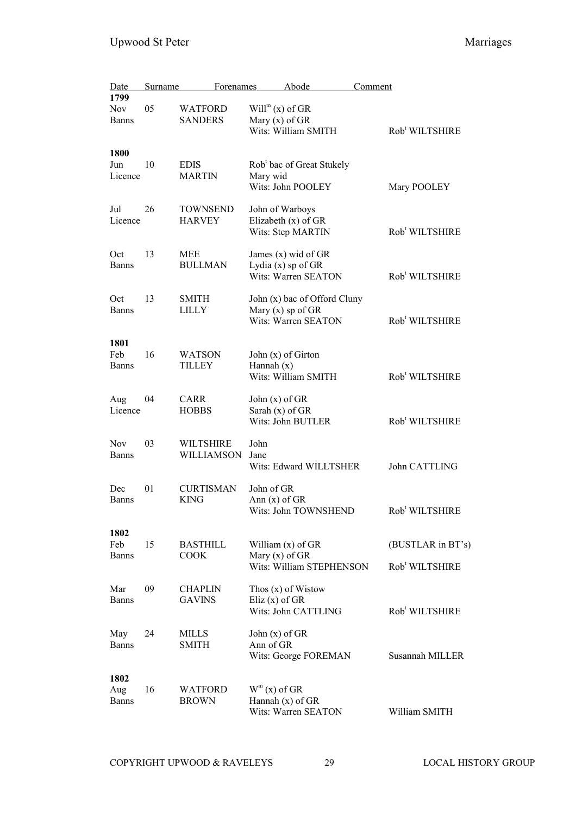| Date         | <b>Surname</b> | <b>Forenames</b> |                    | Abode                                 | Comment |                            |
|--------------|----------------|------------------|--------------------|---------------------------------------|---------|----------------------------|
| 1799         |                |                  |                    |                                       |         |                            |
| <b>Nov</b>   | 05             | <b>WATFORD</b>   | $Willm(x)$ of GR   |                                       |         |                            |
| <b>Banns</b> |                | <b>SANDERS</b>   | Mary $(x)$ of GR   |                                       |         |                            |
|              |                |                  |                    | Wits: William SMITH                   |         | Rob <sup>t</sup> WILTSHIRE |
| 1800         |                |                  |                    |                                       |         |                            |
| Jun          | 10             | <b>EDIS</b>      |                    | Rob <sup>t</sup> bac of Great Stukely |         |                            |
| Licence      |                | <b>MARTIN</b>    | Mary wid           |                                       |         |                            |
|              |                |                  |                    | Wits: John POOLEY                     |         | Mary POOLEY                |
| Jul          | 26             | <b>TOWNSEND</b>  |                    | John of Warboys                       |         |                            |
| Licence      |                | <b>HARVEY</b>    |                    | Elizabeth $(x)$ of GR                 |         |                            |
|              |                |                  |                    | Wits: Step MARTIN                     |         | Rob <sup>t</sup> WILTSHIRE |
| Oct          | 13             | MEE              |                    | James $(x)$ wid of GR                 |         |                            |
| <b>Banns</b> |                | <b>BULLMAN</b>   |                    | Lydia $(x)$ sp of GR                  |         |                            |
|              |                |                  |                    | Wits: Warren SEATON                   |         | Rob <sup>t</sup> WILTSHIRE |
| Oct          | 13             | <b>SMITH</b>     |                    | John (x) bac of Offord Cluny          |         |                            |
| Banns        |                | LILLY            |                    | Mary $(x)$ sp of GR                   |         |                            |
|              |                |                  |                    | Wits: Warren SEATON                   |         | Rob <sup>t</sup> WILTSHIRE |
| 1801         |                |                  |                    |                                       |         |                            |
| Feb          | 16             | <b>WATSON</b>    |                    | John (x) of Girton                    |         |                            |
| <b>Banns</b> |                | TILLEY           | Hannah $(x)$       |                                       |         |                            |
|              |                |                  |                    | Wits: William SMITH                   |         | Rob <sup>t</sup> WILTSHIRE |
| Aug          | 04             | <b>CARR</b>      | John $(x)$ of $GR$ |                                       |         |                            |
| Licence      |                | <b>HOBBS</b>     | Sarah $(x)$ of GR  |                                       |         |                            |
|              |                |                  |                    | Wits: John BUTLER                     |         | Rob <sup>t</sup> WILTSHIRE |
| <b>Nov</b>   | 03             | <b>WILTSHIRE</b> | John               |                                       |         |                            |
| <b>Banns</b> |                | WILLIAMSON       | Jane               |                                       |         |                            |
|              |                |                  |                    | Wits: Edward WILLTSHER                |         | John CATTLING              |
| Dec          | 01             | <b>CURTISMAN</b> | John of GR         |                                       |         |                            |
| <b>Banns</b> |                | <b>KING</b>      | Ann $(x)$ of GR    |                                       |         |                            |
|              |                |                  |                    | Wits: John TOWNSHEND                  |         | Rob <sup>t</sup> WILTSHIRE |
| 1802         |                |                  |                    |                                       |         |                            |
| Feb          | 15             | <b>BASTHILL</b>  |                    | William $(x)$ of GR                   |         | (BUSTLAR in BT's)          |
| <b>Banns</b> |                | <b>COOK</b>      | Mary $(x)$ of GR   |                                       |         |                            |
|              |                |                  |                    | Wits: William STEPHENSON              |         | Rob <sup>t</sup> WILTSHIRE |
| Mar          | 09             | <b>CHAPLIN</b>   |                    | Thos $(x)$ of Wistow                  |         |                            |
| <b>Banns</b> |                | <b>GAVINS</b>    | Eliz $(x)$ of GR   |                                       |         |                            |
|              |                |                  |                    | Wits: John CATTLING                   |         | Rob <sup>t</sup> WILTSHIRE |
| May          | 24             | <b>MILLS</b>     | John $(x)$ of GR   |                                       |         |                            |
| Banns        |                | <b>SMITH</b>     | Ann of GR          |                                       |         |                            |
|              |                |                  |                    | Wits: George FOREMAN                  |         | Susannah MILLER            |
| 1802         |                |                  |                    |                                       |         |                            |
| Aug          | 16             | <b>WATFORD</b>   | $W^m(x)$ of GR     |                                       |         |                            |
| <b>Banns</b> |                | <b>BROWN</b>     |                    | Hannah (x) of GR                      |         |                            |
|              |                |                  |                    | Wits: Warren SEATON                   |         | William SMITH              |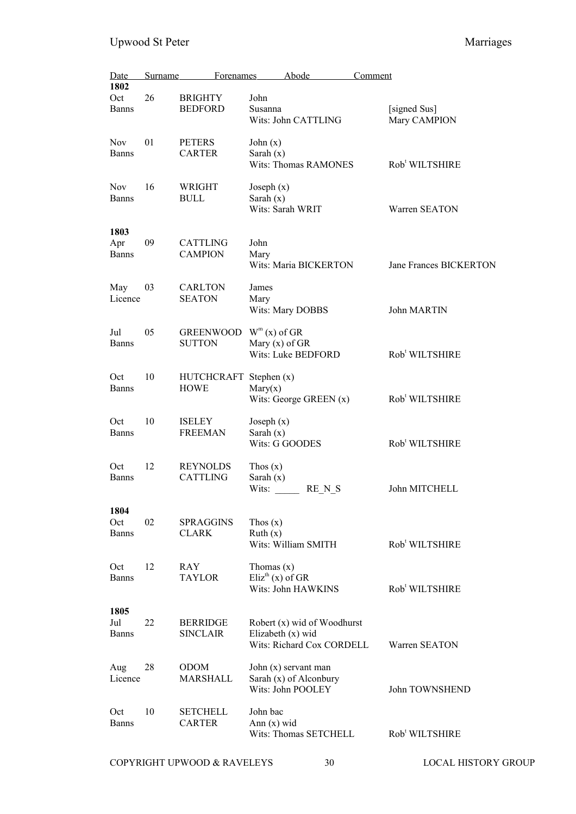| Date                        | Surname | Forenames                             | Abode                                                                         |        | Comment                      |
|-----------------------------|---------|---------------------------------------|-------------------------------------------------------------------------------|--------|------------------------------|
| 1802<br>Oct<br><b>Banns</b> | 26      | <b>BRIGHTY</b><br><b>BEDFORD</b>      | John<br>Susanna<br>Wits: John CATTLING                                        |        | [signed Sus]<br>Mary CAMPION |
| <b>Nov</b><br>Banns         | 01      | <b>PETERS</b><br><b>CARTER</b>        | John $(x)$<br>Sarah $(x)$<br><b>Wits: Thomas RAMONES</b>                      |        | Rob <sup>t</sup> WILTSHIRE   |
| <b>Nov</b><br><b>Banns</b>  | 16      | WRIGHT<br><b>BULL</b>                 | Joseph $(x)$<br>Sarah $(x)$<br>Wits: Sarah WRIT                               |        | Warren SEATON                |
| 1803<br>Apr<br><b>Banns</b> | 09      | <b>CATTLING</b><br><b>CAMPION</b>     | John<br>Mary<br>Wits: Maria BICKERTON                                         |        | Jane Frances BICKERTON       |
| May<br>Licence              | 03      | <b>CARLTON</b><br>SEATON              | James<br>Mary<br>Wits: Mary DOBBS                                             |        | John MARTIN                  |
| Jul<br><b>Banns</b>         | 05      | <b>GREENWOOD</b><br><b>SUTTON</b>     | $W^m(x)$ of GR<br>Mary $(x)$ of GR<br>Wits: Luke BEDFORD                      |        | Rob <sup>t</sup> WILTSHIRE   |
| Oct<br><b>Banns</b>         | 10      | HUTCHCRAFT Stephen (x)<br><b>HOWE</b> | Mary(x)<br>Wits: George GREEN $(x)$                                           |        | Rob <sup>t</sup> WILTSHIRE   |
| Oct<br>Banns                | 10      | <b>ISELEY</b><br><b>FREEMAN</b>       | Joseph $(x)$<br>Sarah $(x)$<br>Wits: G GOODES                                 |        | Rob <sup>t</sup> WILTSHIRE   |
| Oct<br><b>Banns</b>         | 12      | <b>REYNOLDS</b><br><b>CATTLING</b>    | Thos $(x)$<br>Sarah $(x)$<br>Wits:                                            | RE N S | John MITCHELL                |
| 1804<br>Oct<br><b>Banns</b> | 02      | SPRAGGINS<br><b>CLARK</b>             | Thos $(x)$<br>Ruth(x)<br>Wits: William SMITH                                  |        | Rob <sup>t</sup> WILTSHIRE   |
| Oct<br><b>Banns</b>         | 12      | <b>RAY</b><br><b>TAYLOR</b>           | Thomas $(x)$<br>Eliz <sup>th</sup> (x) of GR<br>Wits: John HAWKINS            |        | Rob <sup>t</sup> WILTSHIRE   |
| 1805<br>Jul<br>Banns        | 22      | <b>BERRIDGE</b><br><b>SINCLAIR</b>    | Robert (x) wid of Woodhurst<br>Elizabeth (x) wid<br>Wits: Richard Cox CORDELL |        | Warren SEATON                |
| Aug<br>Licence              | 28      | <b>ODOM</b><br><b>MARSHALL</b>        | John $(x)$ servant man<br>Sarah (x) of Alconbury<br>Wits: John POOLEY         |        | John TOWNSHEND               |
| Oct<br><b>Banns</b>         | 10      | <b>SETCHELL</b><br><b>CARTER</b>      | John bac<br>Ann $(x)$ wid<br>Wits: Thomas SETCHELL                            |        | Rob <sup>t</sup> WILTSHIRE   |

COPYRIGHT UPWOOD & RAVELEYS 30 LOCAL HISTORY GROUP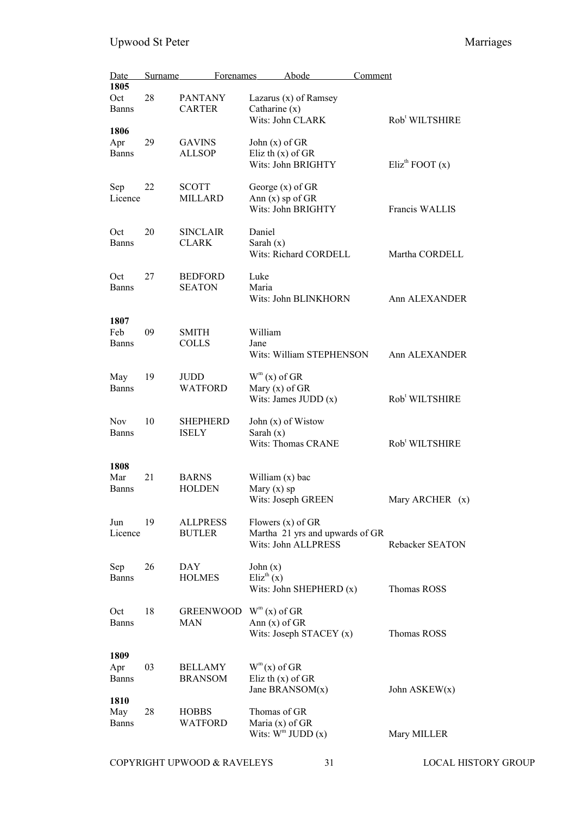| Date                        | <b>Surname</b> | <b>Forenames</b>                 | Abode                                                                         | Comment |                                 |
|-----------------------------|----------------|----------------------------------|-------------------------------------------------------------------------------|---------|---------------------------------|
| 1805<br>Oct<br><b>Banns</b> | 28             | <b>PANTANY</b><br><b>CARTER</b>  | Lazarus $(x)$ of Ramsey<br>Catharine $(x)$<br>Wits: John CLARK                |         | Rob <sup>t</sup> WILTSHIRE      |
| 1806<br>Apr<br><b>Banns</b> | 29             | <b>GAVINS</b><br><b>ALLSOP</b>   | John $(x)$ of GR<br>Eliz th $(x)$ of GR<br>Wits: John BRIGHTY                 |         | $Eliz$ <sup>th</sup> FOOT $(x)$ |
| Sep<br>Licence              | 22             | <b>SCOTT</b><br><b>MILLARD</b>   | George $(x)$ of GR<br>Ann $(x)$ sp of GR<br>Wits: John BRIGHTY                |         | Francis WALLIS                  |
| Oct<br><b>Banns</b>         | 20             | <b>SINCLAIR</b><br><b>CLARK</b>  | Daniel<br>Sarah $(x)$<br>Wits: Richard CORDELL                                |         | Martha CORDELL                  |
| Oct<br><b>Banns</b>         | 27             | <b>BEDFORD</b><br><b>SEATON</b>  | Luke<br>Maria<br>Wits: John BLINKHORN                                         |         | Ann ALEXANDER                   |
| 1807<br>Feb<br><b>Banns</b> | 09             | <b>SMITH</b><br><b>COLLS</b>     | William<br>Jane<br>Wits: William STEPHENSON                                   |         | Ann ALEXANDER                   |
| May<br><b>Banns</b>         | 19             | JUDD<br>WATFORD                  | $W^m(x)$ of GR<br>Mary $(x)$ of GR<br>Wits: James JUDD $(x)$                  |         | Rob <sup>t</sup> WILTSHIRE      |
| <b>Nov</b><br><b>Banns</b>  | 10             | <b>SHEPHERD</b><br><b>ISELY</b>  | John (x) of Wistow<br>Sarah $(x)$<br><b>Wits: Thomas CRANE</b>                |         | Rob <sup>t</sup> WILTSHIRE      |
| 1808<br>Mar<br><b>Banns</b> | 21             | <b>BARNS</b><br><b>HOLDEN</b>    | William $(x)$ bac<br>Mary $(x)$ sp<br>Wits: Joseph GREEN                      |         | Mary ARCHER (x)                 |
| Jun<br>Licence              | 19             | <b>ALLPRESS</b><br><b>BUTLER</b> | Flowers $(x)$ of GR<br>Martha 21 yrs and upwards of GR<br>Wits: John ALLPRESS |         | Rebacker SEATON                 |
| Sep<br><b>Banns</b>         | 26             | DAY<br><b>HOLMES</b>             | John $(x)$<br>Eliz <sup>th</sup> $(x)$<br>Wits: John SHEPHERD (x)             |         | Thomas ROSS                     |
| Oct<br><b>Banns</b>         | 18             | <b>GREENWOOD</b><br><b>MAN</b>   | $W^m(x)$ of GR<br>Ann $(x)$ of GR<br>Wits: Joseph STACEY (x)                  |         | Thomas ROSS                     |
| 1809<br>Apr<br><b>Banns</b> | 03             | <b>BELLAMY</b><br><b>BRANSOM</b> | $W^m(x)$ of GR<br>Eliz th $(x)$ of GR<br>Jane BRANSOM $(x)$                   |         | John $ASKEW(x)$                 |
| 1810<br>May<br><b>Banns</b> | 28             | <b>HOBBS</b><br><b>WATFORD</b>   | Thomas of GR<br>Maria $(x)$ of GR<br>Wits: $W^m$ JUDD $(x)$                   |         | Mary MILLER                     |